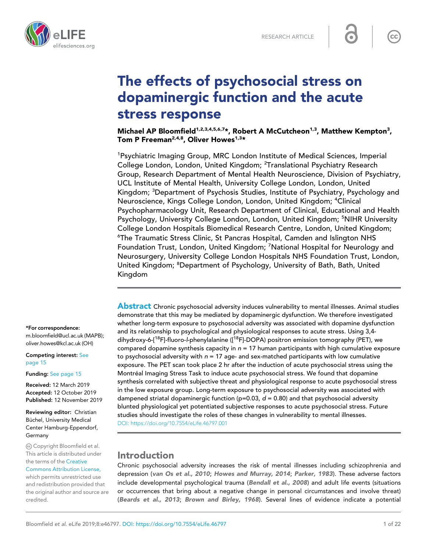



# The effects of psychosocial stress on dopaminergic function and the acute stress response

Michael AP Bloomfield<sup>1,2,3,4,5,6,7</sup>\*, Robert A McCutcheon<sup>1,3</sup>, Matthew Kempton<sup>3</sup>, Tom P Freeman<sup>2,4,8</sup>, Oliver Howes<sup>1,3\*</sup>

<sup>1</sup>Psychiatric Imaging Group, MRC London Institute of Medical Sciences, Imperial College London, London, United Kingdom; <sup>2</sup>Translational Psychiatry Research Group, Research Department of Mental Health Neuroscience, Division of Psychiatry, UCL Institute of Mental Health, University College London, London, United Kingdom; <sup>3</sup>Department of Psychosis Studies, Institute of Psychiatry, Psychology and Neuroscience, Kings College London, London, United Kingdom; <sup>4</sup>Clinical Psychopharmacology Unit, Research Department of Clinical, Educational and Health Psychology, University College London, London, United Kingdom; <sup>5</sup>NIHR University College London Hospitals Biomedical Research Centre, London, United Kingdom; <sup>6</sup>The Traumatic Stress Clinic, St Pancras Hospital, Camden and Islington NHS Foundation Trust, London, United Kingdom; <sup>7</sup>National Hospital for Neurology and Neurosurgery, University College London Hospitals NHS Foundation Trust, London, United Kingdom; <sup>8</sup>Department of Psychology, University of Bath, Bath, United Kingdom

\*For correspondence:

m.bloomfield@ucl.ac.uk (MAPB); oliver.howes@kcl.ac.uk (OH)

Competing interest: [See](#page-14-0) [page 15](#page-14-0)

Funding: [See page 15](#page-14-0)

Received: 12 March 2019 Accepted: 12 October 2019 Published: 12 November 2019

Reviewing editor: Christian Büchel, University Medical Center Hamburg-Eppendorf, Germany

Copyright Bloomfield et al. This article is distributed under the terms of the [Creative](http://creativecommons.org/licenses/by/4.0/)

[Commons Attribution License,](http://creativecommons.org/licenses/by/4.0/) which permits unrestricted use and redistribution provided that the original author and source are credited.

Abstract Chronic psychosocial adversity induces vulnerability to mental illnesses. Animal studies demonstrate that this may be mediated by dopaminergic dysfunction. We therefore investigated whether long-term exposure to psychosocial adversity was associated with dopamine dysfunction and its relationship to psychological and physiological responses to acute stress. Using 3,4 dihydroxy-6-[<sup>18</sup>F]-fluoro-l-phenylalanine ([<sup>18</sup>F]-DOPA) positron emission tomography (PET), we compared dopamine synthesis capacity in  $n = 17$  human participants with high cumulative exposure to psychosocial adversity with  $n = 17$  age- and sex-matched participants with low cumulative exposure. The PET scan took place 2 hr after the induction of acute psychosocial stress using the Montréal Imaging Stress Task to induce acute psychosocial stress. We found that dopamine synthesis correlated with subjective threat and physiological response to acute psychosocial stress in the low exposure group. Long-term exposure to psychosocial adversity was associated with dampened striatal dopaminergic function (p=0.03,  $d = 0.80$ ) and that psychosocial adversity blunted physiological yet potentiated subjective responses to acute psychosocial stress. Future studies should investigate the roles of these changes in vulnerability to mental illnesses. [DOI: https://doi.org/10.7554/eLife.46797.001](https://doi.org/10.7554/eLife.46797.001)

## Introduction

Chronic psychosocial adversity increases the risk of mental illnesses including schizophrenia and depression ([van Os et al., 2010](#page-20-0); [Howes and Murray, 2014](#page-17-0); [Parker, 1983](#page-19-0)). These adverse factors include developmental psychological trauma ([Bendall et al., 2008](#page-15-0)) and adult life events (situations or occurrences that bring about a negative change in personal circumstances and involve threat) ([Beards et al., 2013](#page-15-0); [Brown and Birley, 1968](#page-15-0)). Several lines of evidence indicate a potential

 $cc$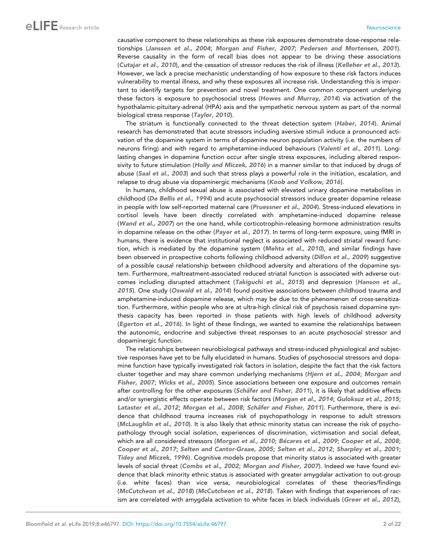causative component to these relationships as these risk exposures demonstrate dose-response relationships ([Janssen et al., 2004](#page-17-0); [Morgan and Fisher, 2007](#page-19-0); [Pedersen and Mortensen, 2001](#page-19-0)). Reverse causality in the form of recall bias does not appear to be driving these associations ([Cutajar et al., 2010](#page-16-0)), and the cessation of stressor reduces the risk of illness ([Kelleher et al., 2013](#page-17-0)). However, we lack a precise mechanistic understanding of how exposure to these risk factors induces vulnerability to mental illness, and why these exposures all increase risk. Understanding this is important to identify targets for prevention and novel treatment. One common component underlying these factors is exposure to psychosocial stress ([Howes and Murray, 2014](#page-17-0)) via activation of the hypothalamic-pituitary-adrenal (HPA) axis and the sympathetic nervous system as part of the normal biological stress response ([Taylor, 2010](#page-20-0)).

The striatum is functionally connected to the threat detection system ([Haber, 2014](#page-17-0)). Animal research has demonstrated that acute stressors including aversive stimuli induce a pronounced activation of the dopamine system in terms of dopamine neuron population activity (i.e. the numbers of neurons firing) and with regard to amphetamine-induced behaviours ([Valenti et al., 2011](#page-20-0)). Longlasting changes in dopamine function occur after single stress exposures, including altered respon-sivity to future stimulation ([Holly and Miczek, 2016](#page-17-0)) in a manner similar to that induced by drugs of abuse ([Saal et al., 2003](#page-19-0)) and such that stress plays a powerful role in the initiation, escalation, and relapse to drug abuse via dopaminergic mechanisms ([Koob and Volkow, 2016](#page-17-0)).

In humans, childhood sexual abuse is associated with elevated urinary dopamine metabolites in childhood ([De Bellis et al., 1994](#page-16-0)) and acute psychosocial stressors induce greater dopamine release in people with low self-reported maternal care ([Pruessner et al., 2004](#page-19-0)). Stress-induced elevations in cortisol levels have been directly correlated with amphetamine-induced dopamine release ([Wand et al., 2007](#page-20-0)) on the one hand, while corticotrophin-releasing hormone administration results in dopamine release on the other ([Payer et al., 2017](#page-19-0)). In terms of long-term exposure, using fMRI in humans, there is evidence that institutional neglect is associated with reduced striatal reward func-tion, which is mediated by the dopamine system ([Mehta et al., 2010](#page-18-0)), and similar findings have been observed in prospective cohorts following childhood adversity ([Dillon et al., 2009](#page-16-0)) suggestive of a possible causal relationship between childhood adversity and alterations of the dopamine system. Furthermore, maltreatment-associated reduced striatal function is associated with adverse outcomes including disrupted attachment ([Takiguchi et al., 2015](#page-20-0)) and depression ([Hanson et al.,](#page-17-0) [2015](#page-17-0)). One study ([Oswald et al., 2014](#page-19-0)) found positive associations between childhood trauma and amphetamine-induced dopamine release, which may be due to the phenomenon of cross-sensitization. Furthermore, within people who are at ultra-high clinical risk of psychosis raised dopamine synthesis capacity has been reported in those patients with high levels of childhood adversity ([Egerton et al., 2016](#page-16-0)). In light of these findings, we wanted to examine the relationships between the autonomic, endocrine and subjective threat responses to an acute psychosocial stressor and dopaminergic function.

The relationships between neurobiological pathways and stress-induced physiological and subjective responses have yet to be fully elucidated in humans. Studies of psychosocial stressors and dopamine function have typically investigated risk factors in isolation, despite the fact that the risk factors cluster together and may share common underlying mechanisms ([Hjern et al., 2004](#page-17-0); [Morgan and](#page-19-0) [Fisher, 2007](#page-19-0); [Wicks et al., 2005](#page-21-0)). Since associations between one exposure and outcomes remain after controlling for the other exposures (Schäfer and Fisher, 2011), it is likely that additive effects and/or synergistic effects operate between risk factors ([Morgan et al., 2014](#page-19-0); [Guloksuz et al., 2015](#page-17-0); [Lataster et al., 2012](#page-18-0); [Morgan et al., 2008](#page-19-0); Schäfer and Fisher, 2011). Furthermore, there is evidence that childhood trauma increases risk of psychopathology in response to adult stressors ([McLaughlin et al., 2010](#page-18-0)). It is also likely that ethnic minority status can increase the risk of psychopathology through social isolation, experiences of discrimination, victimisation and social defeat, which are all considered stressors ([Morgan et al., 2010](#page-19-0); Bécares et al., 2009; [Cooper et al., 2008](#page-16-0); [Cooper et al., 2017](#page-16-0); [Selten and Cantor-Graae, 2005](#page-20-0); [Selten et al., 2012](#page-20-0); [Sharpley et al., 2001](#page-20-0); [Tidey and Miczek, 1996](#page-20-0)). Cognitive models propose that minority status is associated with greater levels of social threat ([Combs et al., 2002](#page-16-0); [Morgan and Fisher, 2007](#page-19-0)). Indeed we have found evidence that black minority ethnic status is associated with greater amygdalar activation to out-group (i.e. white faces) than vice versa, neurobiological correlates of these theories/findings ([McCutcheon et al., 2018](#page-18-0)) ([McCutcheon et al., 2018](#page-18-0)). Taken with findings that experiences of rac-ism are correlated with amygdala activation to white faces in black individuals ([Greer et al., 2012](#page-17-0)),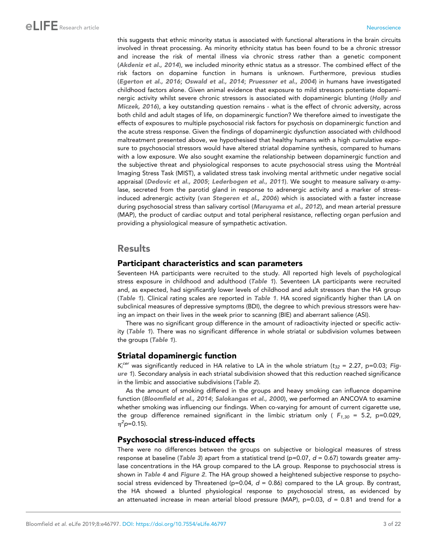this suggests that ethnic minority status is associated with functional alterations in the brain circuits involved in threat processing. As minority ethnicity status has been found to be a chronic stressor and increase the risk of mental illness via chronic stress rather than a genetic component ([Akdeniz et al., 2014](#page-15-0)), we included minority ethnic status as a stressor. The combined effect of the risk factors on dopamine function in humans is unknown. Furthermore, previous studies ([Egerton et al., 2016](#page-16-0); [Oswald et al., 2014](#page-19-0); [Pruessner et al., 2004](#page-19-0)) in humans have investigated childhood factors alone. Given animal evidence that exposure to mild stressors potentiate dopaminergic activity whilst severe chronic stressors is associated with dopaminergic blunting ([Holly and](#page-17-0) [Miczek, 2016](#page-17-0)), a key outstanding question remains - what is the effect of chronic adversity, across both child and adult stages of life, on dopaminergic function? We therefore aimed to investigate the effects of exposures to multiple psychosocial risk factors for psychosis on dopaminergic function and the acute stress response. Given the findings of dopaminergic dysfunction associated with childhood maltreatment presented above, we hypothesised that healthy humans with a high cumulative exposure to psychosocial stressors would have altered striatal dopamine synthesis, compared to humans with a low exposure. We also sought examine the relationship between dopaminergic function and the subjective threat and physiological responses to acute psychosocial stress using the Montréal Imaging Stress Task (MIST), a validated stress task involving mental arithmetic under negative social appraisal ([Dedovic et al., 2005](#page-16-0); [Lederbogen et al., 2011](#page-18-0)). We sought to measure salivary  $\alpha$ -amylase, secreted from the parotid gland in response to adrenergic activity and a marker of stressinduced adrenergic activity ([van Stegeren et al., 2006](#page-20-0)) which is associated with a faster increase during psychosocial stress than salivary cortisol ([Maruyama et al., 2012](#page-18-0)), and mean arterial pressure (MAP), the product of cardiac output and total peripheral resistance, reflecting organ perfusion and providing a physiological measure of sympathetic activation.

## Results

#### Participant characteristics and scan parameters

Seventeen HA participants were recruited to the study. All reported high levels of psychological stress exposure in childhood and adulthood ([Table 1](#page-3-0)). Seventeen LA participants were recruited and, as expected, had significantly lower levels of childhood and adult stressors than the HA group ([Table 1](#page-3-0)). Clinical rating scales are reported in [Table 1](#page-3-0). HA scored significantly higher than LA on subclinical measures of depressive symptoms (BDI), the degree to which previous stressors were having an impact on their lives in the week prior to scanning (BIE) and aberrant salience (ASI).

There was no significant group difference in the amount of radioactivity injected or specific activity ([Table 1](#page-3-0)). There was no significant difference in whole striatal or subdivision volumes between the groups ([Table 1](#page-3-0)).

### Striatal dopaminergic function

*Ki cer* was significantly reduced in HA relative to LA in the whole striatum (*t<sup>32</sup>* = 2.27, p=0.03; [Fig](#page-4-0)[ure 1](#page-4-0)). Secondary analysis in each striatal subdivision showed that this reduction reached significance in the limbic and associative subdivisions ([Table 2](#page-5-0)).

As the amount of smoking differed in the groups and heavy smoking can influence dopamine function ([Bloomfield et al., 2014](#page-15-0); [Salokangas et al., 2000](#page-19-0)), we performed an ANCOVA to examine whether smoking was influencing our findings. When co-varying for amount of current cigarette use, the group difference remained significant in the limbic striatum only ( $F_{1,30}$  = 5.2, p=0.029,  $\eta^2$ p=0.15).

### Psychosocial stress-induced effects

There were no differences between the groups on subjective or biological measures of stress response at baseline ([Table 3](#page-5-0)) apart from a statistical trend ( $p=0.07$ ,  $d=0.67$ ) towards greater amylase concentrations in the HA group compared to the LA group. Response to psychosocial stress is shown in [Table 4](#page-6-0) and [Figure 2](#page-7-0). The HA group showed a heightened subjective response to psychosocial stress evidenced by Threatened (p=0.04, *d* = 0.86) compared to the LA group. By contrast, the HA showed a blunted physiological response to psychosocial stress, as evidenced by an attenuated increase in mean arterial blood pressure (MAP), p=0.03, *d* = 0.81 and trend for a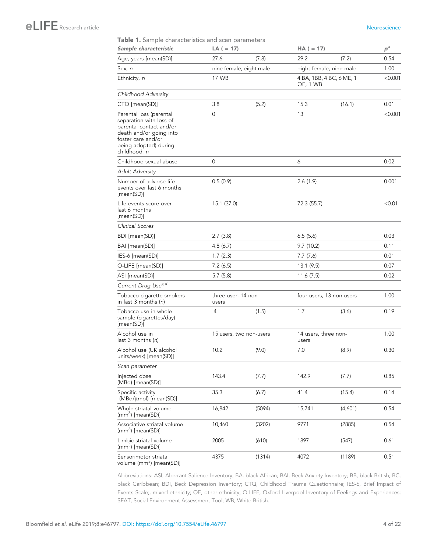#### <span id="page-3-0"></span>Table 1. Sample characteristics and scan parameters

| Sample characteristic                                                                                                                                                   | $LA (= 17)$                  |                         | $HA (= 17)$                   |                          | $p^{\rm a}$ |
|-------------------------------------------------------------------------------------------------------------------------------------------------------------------------|------------------------------|-------------------------|-------------------------------|--------------------------|-------------|
| Age, years [mean(SD)]                                                                                                                                                   | 27.6                         | (7.8)                   | 29.2                          | (7.2)                    | 0.54        |
| Sex, n                                                                                                                                                                  |                              | nine female, eight male |                               | eight female, nine male  | 1.00        |
| Ethnicity, n                                                                                                                                                            | 17 WB                        |                         | OE, 1 WB                      | 4 BA, 1BB, 4 BC, 6 ME, 1 | < 0.001     |
| Childhood Adversity                                                                                                                                                     |                              |                         |                               |                          |             |
| CTQ [mean(SD)]                                                                                                                                                          | 3.8                          | (5.2)                   | 15.3                          | (16.1)                   | 0.01        |
| Parental loss (parental<br>separation with loss of<br>parental contact and/or<br>death and/or going into<br>foster care and/or<br>being adopted) during<br>childhood, n | $\mathbf 0$                  |                         | 13                            |                          | < 0.001     |
| Childhood sexual abuse                                                                                                                                                  | 0                            |                         | 6                             |                          | 0.02        |
| <b>Adult Adversity</b>                                                                                                                                                  |                              |                         |                               |                          |             |
| Number of adverse life<br>events over last 6 months<br>[mean(SD)]                                                                                                       | 0.5(0.9)                     |                         | 2.6(1.9)                      |                          | 0.001       |
| Life events score over<br>last 6 months<br>[mean(SD)]                                                                                                                   | 15.1 (37.0)                  |                         | 72.3 (55.7)                   |                          | < 0.01      |
| Clinical Scores                                                                                                                                                         |                              |                         |                               |                          |             |
| BDI [mean(SD)]                                                                                                                                                          | 2.7(3.8)                     |                         | 6.5(5.6)                      |                          | 0.03        |
| BAI [mean(SD)]                                                                                                                                                          | 4.8(6.7)                     |                         | 9.7(10.2)                     |                          | 0.11        |
| IES-6 [mean(SD)]                                                                                                                                                        | 1.7(2.3)                     |                         | 7.7 (7.6)                     |                          | 0.01        |
| O-LIFE [mean(SD)]                                                                                                                                                       | 7.2(6.5)                     |                         | 13.1(9.5)                     |                          | 0.07        |
| ASI [mean(SD)]                                                                                                                                                          | 5.7(5.8)                     |                         | 11.6 (7.5)                    |                          | 0.02        |
| Current Drug Use <sup>c,d</sup>                                                                                                                                         |                              |                         |                               |                          |             |
| Tobacco cigarette smokers<br>in last 3 months $(n)$                                                                                                                     | three user, 14 non-<br>users |                         |                               | four users, 13 non-users | 1.00        |
| Tobacco use in whole<br>sample (cigarettes/day)<br>[mean(SD)]                                                                                                           | .4                           | (1.5)                   | 1.7                           | (3.6)                    | 0.19        |
| Alcohol use in<br>last 3 months (n)                                                                                                                                     |                              | 15 users, two non-users | 14 users, three non-<br>users |                          | 1.00        |
| Alcohol use (UK alcohol<br>units/week) [mean(SD)]                                                                                                                       | 10.2                         | (9.0)                   | 7.0                           | (8.9)                    | 0.30        |
| Scan parameter                                                                                                                                                          |                              |                         |                               |                          |             |
| Injected dose<br>(MBq) [mean(SD)]                                                                                                                                       | 143.4                        | (7.7)                   | 142.9                         | (7.7)                    | 0.85        |
| Specific activity<br>(MBq/umol) [mean(SD)]                                                                                                                              | 35.3                         | (6.7)                   | 41.4                          | (15.4)                   | 0.14        |
| Whole striatal volume<br>$(mm3)$ [mean(SD)]                                                                                                                             | 16,842                       | (5094)                  | 15,741                        | (4,601)                  | 0.54        |
| Associative striatal volume<br>$(mm3)$ [mean(SD)]                                                                                                                       | 10,460                       | (3202)                  | 9771                          | (2885)                   | 0.54        |
| Limbic striatal volume<br>$(mm3)$ [mean(SD)]                                                                                                                            | 2005                         | (610)                   | 1897                          | (547)                    | 0.61        |
| Sensorimotor striatal<br>volume (mm <sup>3</sup> ) [mean(SD)]                                                                                                           | 4375                         | (1314)                  | 4072                          | (1189)                   | 0.51        |

Abbreviations: ASI, Aberrant Salience Inventory; BA, black African; BAI; Beck Anxiety Inventory; BB, black British; BC, black Caribbean; BDI, Beck Depression Inventory; CTQ, Childhood Trauma Questionnaire; IES-6, Brief Impact of Events Scale;, mixed ethnicity; OE, other ethnicity; O-LIFE, Oxford-Liverpool Inventory of Feelings and Experiences; SEAT, Social Environment Assessment Tool; WB, White British.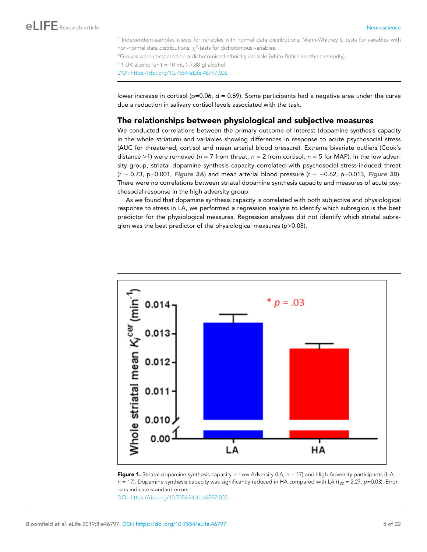<span id="page-4-0"></span><sup>a</sup> Independent-samples t-tests for variables with normal data distributions; Mann-Whitney U tests for variables with non-normal data distributions;  $\chi^2$ -tests for dichotomous variables.

<sup>b</sup>Groups were compared on a dichotomised ethnicity variable (white British vs ethnic minority).

 $\degree$  1 UK alcohol unit = 10 mL (~7.88 g) alcohol.

[DOI: https://doi.org/10.7554/eLife.46797.002](https://doi.org/10.7554/eLife.46797.002)

lower increase in cortisol (p=0.06, *d* = 0.69). Some participants had a negative area under the curve due a reduction in salivary cortisol levels associated with the task.

### The relationships between physiological and subjective measures

We conducted correlations between the primary outcome of interest (dopamine synthesis capacity in the whole striatum) and variables showing differences in response to acute psychosocial stress (AUC for threatened, cortisol and mean arterial blood pressure). Extreme bivariate outliers (Cook's distance >1) were removed (*n* = 7 from threat, *n* = 2 from cortisol, *n* = 5 for MAP). In the low adversity group, striatal dopamine synthesis capacity correlated with psychosocial stress-induced threat  $(r = 0.73, p=0.001,$  [Figure 3A](#page-8-0)) and mean arterial blood pressure  $(r = -0.62, p=0.013,$  [Figure 3B](#page-8-0)). There were no correlations between striatal dopamine synthesis capacity and measures of acute psychosocial response in the high adversity group.

As we found that dopamine synthesis capacity is correlated with both subjective and physiological response to stress in LA, we performed a regression analysis to identify which subregion is the best predictor for the physiological measures. Regression analyses did not identify which striatal subregion was the best predictor of the physiological measures (p>0.08).



Figure 1. Striatal dopamine synthesis capacity in Low Adversity (LA,  $n = 17$ ) and High Adversity participants (HA,  $n = 17$ ). Dopamine synthesis capacity was significantly reduced in HA compared with LA ( $t_{32} = 2.27$ , p=0.03). Error bars indicate standard errors.

[DOI: https://doi.org/10.7554/eLife.46797.003](https://doi.org/10.7554/eLife.46797.003)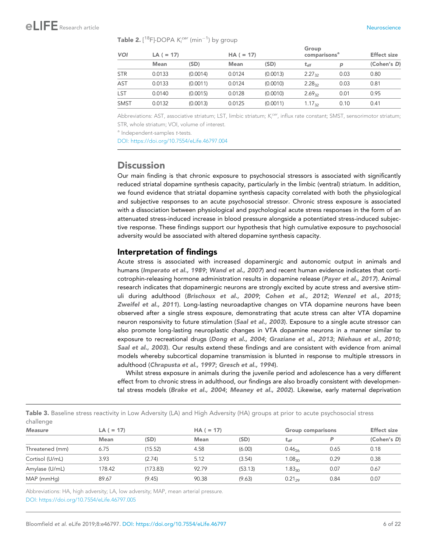<span id="page-5-0"></span> $\mathsf{Table}$  2.  $[^{18}F]\text{-DOPA}$   $K_i^{cer}$  ( $\mathsf{min}^{-1}$ ) by group

| <b>VOI</b>  |             | $LA (= 17)$ |             | $HA (= 17)$ |                            | Group<br>comparisons <sup>a</sup> |             |
|-------------|-------------|-------------|-------------|-------------|----------------------------|-----------------------------------|-------------|
|             | <b>Mean</b> | (SD)        | <b>Mean</b> | (SD)        | $\mathbf{t}_{\mathsf{df}}$ | $\mathsf{D}$                      | (Cohen's D) |
| <b>STR</b>  | 0.0133      | (0.0014)    | 0.0124      | (0.0013)    | $2.27_{32}$                | 0.03                              | 0.80        |
| AST         | 0.0133      | (0.0011)    | 0.0124      | (0.0010)    | $2.28_{32}$                | 0.03                              | 0.81        |
| LST         | 0.0140      | (0.0015)    | 0.0128      | (0.0010)    | 2.69 <sub>32</sub>         | 0.01                              | 0.95        |
| <b>SMST</b> | 0.0132      | (0.0013)    | 0.0125      | (0.0011)    | $1.17_{32}$                | 0.10                              | 0.41        |

Abbreviations: AST, associative striatum; LST, limbic striatum; K<sup>cer</sup>, influx rate constant; SMST, sensorimotor striatum; STR, whole striatum; VOI, volume of interest.

<sup>a</sup> Independent-samples t-tests.

[DOI: https://doi.org/10.7554/eLife.46797.004](https://doi.org/10.7554/eLife.46797.004)

## **Discussion**

Our main finding is that chronic exposure to psychosocial stressors is associated with significantly reduced striatal dopamine synthesis capacity, particularly in the limbic (ventral) striatum. In addition, we found evidence that striatal dopamine synthesis capacity correlated with both the physiological and subjective responses to an acute psychosocial stressor. Chronic stress exposure is associated with a dissociation between physiological and psychological acute stress responses in the form of an attenuated stress-induced increase in blood pressure alongside a potentiated stress-induced subjective response. These findings support our hypothesis that high cumulative exposure to psychosocial adversity would be associated with altered dopamine synthesis capacity.

#### Interpretation of findings

Acute stress is associated with increased dopaminergic and autonomic output in animals and humans ([Imperato et al., 1989](#page-17-0); [Wand et al., 2007](#page-20-0)) and recent human evidence indicates that corti-cotrophin-releasing hormone administration results in dopamine release ([Payer et al., 2017](#page-19-0)). Animal research indicates that dopaminergic neurons are strongly excited by acute stress and aversive stimuli during adulthood ([Brischoux et al., 2009](#page-15-0); [Cohen et al., 2012](#page-16-0); [Wenzel et al., 2015](#page-20-0); [Zweifel et al., 2011](#page-21-0)). Long-lasting neuroadaptive changes on VTA dopamine neurons have been observed after a single stress exposure, demonstrating that acute stress can alter VTA dopamine neuron responsivity to future stimulation ([Saal et al., 2003](#page-19-0)). Exposure to a single acute stressor can also promote long-lasting neuroplastic changes in VTA dopamine neurons in a manner similar to exposure to recreational drugs ([Dong et al., 2004](#page-16-0); [Graziane et al., 2013](#page-17-0); [Niehaus et al., 2010](#page-19-0); [Saal et al., 2003](#page-19-0)). Our results extend these findings and are consistent with evidence from animal models whereby subcortical dopamine transmission is blunted in response to multiple stressors in adulthood ([Chrapusta et al., 1997](#page-16-0); [Gresch et al., 1994](#page-17-0)).

Whilst stress exposure in animals during the juvenile period and adolescence has a very different effect from to chronic stress in adulthood, our findings are also broadly consistent with developmen-tal stress models ([Brake et al., 2004](#page-15-0); [Meaney et al., 2002](#page-18-0)). Likewise, early maternal deprivation

| <b>Table 3.</b> Baseline stress reactivity in Low Adversity (LA) and High Adversity (HA) groups at prior to acute psychosocial stress |  |  |  |  |
|---------------------------------------------------------------------------------------------------------------------------------------|--|--|--|--|
| challenge                                                                                                                             |  |  |  |  |

| <b>Measure</b>  | $LA (= 17)$ |          |             | $HA (= 17)$ |                    | <b>Group comparisons</b> |             |
|-----------------|-------------|----------|-------------|-------------|--------------------|--------------------------|-------------|
|                 | <b>Mean</b> | (SD)     | <b>Mean</b> | (SD)        | $t_{df}$           |                          | (Cohen's D) |
| Threatened (mm) | 6.75        | (15.52)  | 4.58        | (6.00)      | $0.46_{26}$        | 0.65                     | 0.18        |
| Cortisol (U/mL) | 3.93        | (2.74)   | 5.12        | (3.54)      | 1.08 <sub>30</sub> | 0.29                     | 0.38        |
| Amylase (U/mL)  | 178.42      | (173.83) | 92.79       | (53.13)     | .83 <sub>30</sub>  | 0.07                     | 0.67        |
| MAP (mmHg)      | 89.67       | (9.45)   | 90.38       | (9.63)      | $0.21_{29}$        | 0.84                     | 0.07        |

Abbreviations: HA, high adversity; LA, low adversity; MAP, mean arterial pressure. [DOI: https://doi.org/10.7554/eLife.46797.005](https://doi.org/10.7554/eLife.46797.005)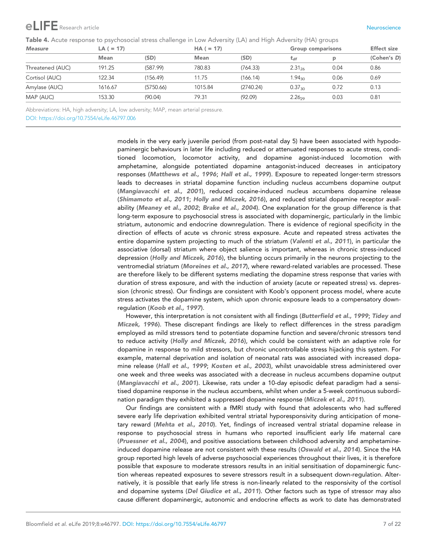# <span id="page-6-0"></span>Research article Neuroscience (Neuroscience Neuroscience Neuroscience Neuroscience Neuroscience Neuroscience N

Table 4. Acute response to psychosocial stress challenge in Low Adversity (LA) and High Adversity (HA) groups

| <b>Measure</b>   | $LA (= 17)$ |           |             | $HA (= 17)$ |                    | <b>Group comparisons</b> |             |
|------------------|-------------|-----------|-------------|-------------|--------------------|--------------------------|-------------|
|                  | <b>Mean</b> | (SD)      | <b>Mean</b> | (SD)        | $t_{df}$           |                          | (Cohen's D) |
| Threatened (AUC) | 191.25      | (587.99)  | 780.83      | (764.33)    | 2.31 <sub>26</sub> | 0.04                     | 0.86        |
| Cortisol (AUC)   | 122.34      | (156.49)  | 11.75       | (166.14)    | 1.94 <sub>30</sub> | 0.06                     | 0.69        |
| Amylase (AUC)    | 1616.67     | (5750.66) | 1015.84     | (2740.24)   | $0.37_{30}$        | 0.72                     | 0.13        |
| MAP (AUC)        | 153.30      | (90.04)   | 79.31       | (92.09)     | 2.26 <sub>29</sub> | 0.03                     | 0.81        |

Abbreviations: HA, high adversity; LA, low adversity; MAP, mean arterial pressure.

[DOI: https://doi.org/10.7554/eLife.46797.006](https://doi.org/10.7554/eLife.46797.006)

models in the very early juvenile period (from post-natal day 5) have been associated with hypodopaminergic behaviours in later life including reduced or attenuated responses to acute stress, conditioned locomotion, locomotor activity, and dopamine agonist-induced locomotion with amphetamine, alongside potentiated dopamine antagonist-induced decreases in anticipatory responses ([Matthews et al., 1996](#page-18-0); [Hall et al., 1999](#page-17-0)). Exposure to repeated longer-term stressors leads to decreases in striatal dopamine function including nucleus accumbens dopamine output ([Mangiavacchi et al., 2001](#page-18-0)), reduced cocaine-induced nucleus accumbens dopamine release ([Shimamoto et al., 2011](#page-20-0); [Holly and Miczek, 2016](#page-17-0)), and reduced striatal dopamine receptor availability ([Meaney et al., 2002](#page-18-0); [Brake et al., 2004](#page-15-0)). One explanation for the group difference is that long-term exposure to psychosocial stress is associated with dopaminergic, particularly in the limbic striatum, autonomic and endocrine downregulation. There is evidence of regional specificity in the direction of effects of acute vs chronic stress exposure. Acute and repeated stress activates the entire dopamine system projecting to much of the striatum ([Valenti et al., 2011](#page-20-0)), in particular the associative (dorsal) striatum where object salience is important, whereas in chronic stress-induced depression ([Holly and Miczek, 2016](#page-17-0)), the blunting occurs primarily in the neurons projecting to the ventromedial striatum ([Moreines et al., 2017](#page-19-0)), where reward-related variables are processed. These are therefore likely to be different systems mediating the dopamine stress response that varies with duration of stress exposure, and with the induction of anxiety (acute or repeated stress) vs. depression (chronic stress). Our findings are consistent with Koob's opponent process model, where acute stress activates the dopamine system, which upon chronic exposure leads to a compensatory downregulation ([Koob et al., 1997](#page-17-0)).

However, this interpretation is not consistent with all findings ([Butterfield et al., 1999](#page-15-0); [Tidey and](#page-20-0) [Miczek, 1996](#page-20-0)). These discrepant findings are likely to reflect differences in the stress paradigm employed as mild stressors tend to potentiate dopamine function and severe/chronic stressors tend to reduce activity ([Holly and Miczek, 2016](#page-17-0)), which could be consistent with an adaptive role for dopamine in response to mild stressors, but chronic uncontrollable stress hijacking this system. For example, maternal deprivation and isolation of neonatal rats was associated with increased dopamine release ([Hall et al., 1999](#page-17-0); [Kosten et al., 2003](#page-18-0)), whilst unavoidable stress administered over one week and three weeks was associated with a decrease in nucleus accumbens dopamine output ([Mangiavacchi et al., 2001](#page-18-0)). Likewise, rats under a 10-day episodic defeat paradigm had a sensitised dopamine response in the nucleus accumbens, whilst when under a 5-week continuous subordination paradigm they exhibited a suppressed dopamine response ([Miczek et al., 2011](#page-18-0)).

Our findings are consistent with a fMRI study with found that adolescents who had suffered severe early life deprivation exhibited ventral striatal hyporesponsivity during anticipation of monetary reward ([Mehta et al., 2010](#page-18-0)). Yet, findings of increased ventral striatal dopamine release in response to psychosocial stress in humans who reported insufficient early life maternal care ([Pruessner et al., 2004](#page-19-0)), and positive associations between childhood adversity and amphetamine-induced dopamine release are not consistent with these results ([Oswald et al., 2014](#page-19-0)). Since the HA group reported high levels of adverse psychosocial experiences throughout their lives, it is therefore possible that exposure to moderate stressors results in an initial sensitisation of dopaminergic function whereas repeated exposures to severe stressors result in a subsequent down-regulation. Alternatively, it is possible that early life stress is non-linearly related to the responsivity of the cortisol and dopamine systems ([Del Giudice et al., 2011](#page-16-0)). Other factors such as type of stressor may also cause different dopaminergic, autonomic and endocrine effects as work to date has demonstrated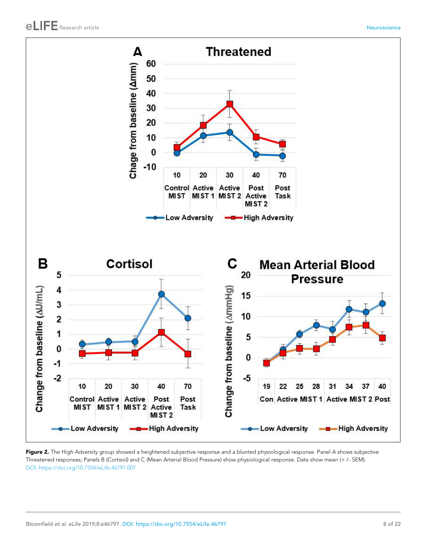<span id="page-7-0"></span>

Figure 2. The High Adversity group showed a heightened subjective response and a blunted physiological response. Panel A shows subjective Threatened responses; Panels B (Cortisol) and C (Mean Arterial Blood Pressure) show physiological response. Data show mean (+ /- SEM). [DOI: https://doi.org/10.7554/eLife.46797.007](https://doi.org/10.7554/eLife.46797.007)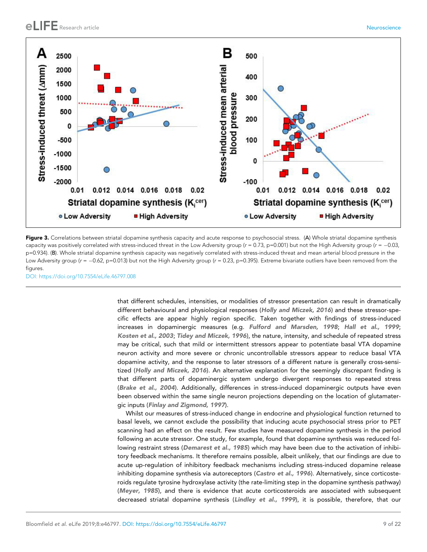<span id="page-8-0"></span>

Figure 3. Correlations between striatal dopamine synthesis capacity and acute response to psychosocial stress. (A) Whole striatal dopamine synthesis capacity was positively correlated with stress-induced threat in the Low Adversity group ( $r = 0.73$ , p=0.001) but not the High Adversity group ( $r = -0.03$ , p=0.934). (B). Whole striatal dopamine synthesis capacity was negatively correlated with stress-induced threat and mean arterial blood pressure in the Low Adversity group ( $r = -0.62$ , p=0.013) but not the High Adversity group ( $r = 0.23$ , p=0.395). Extreme bivariate outliers have been removed from the figures.

[DOI: https://doi.org/10.7554/eLife.46797.008](https://doi.org/10.7554/eLife.46797.008)

that different schedules, intensities, or modalities of stressor presentation can result in dramatically different behavioural and physiological responses ([Holly and Miczek, 2016](#page-17-0)) and these stressor-specific effects are appear highly region specific. Taken together with findings of stress-induced increases in dopaminergic measures (e.g. [Fulford and Marsden, 1998](#page-16-0); [Hall et al., 1999](#page-17-0); [Kosten et al., 2003](#page-18-0); [Tidey and Miczek, 1996](#page-20-0)), the nature, intensity, and schedule of repeated stress may be critical, such that mild or intermittent stressors appear to potentiate basal VTA dopamine neuron activity and more severe or chronic uncontrollable stressors appear to reduce basal VTA dopamine activity, and the response to later stressors of a different nature is generally cross-sensitized ([Holly and Miczek, 2016](#page-17-0)). An alternative explanation for the seemingly discrepant finding is that different parts of dopaminergic system undergo divergent responses to repeated stress ([Brake et al., 2004](#page-15-0)). Additionally, differences in stress-induced dopaminergic outputs have even been observed within the same single neuron projections depending on the location of glutamatergic inputs ([Finlay and Zigmond, 1997](#page-16-0)).

Whilst our measures of stress-induced change in endocrine and physiological function returned to basal levels, we cannot exclude the possibility that inducing acute psychosocial stress prior to PET scanning had an effect on the result. Few studies have measured dopamine synthesis in the period following an acute stressor. One study, for example, found that dopamine synthesis was reduced fol-lowing restraint stress ([Demarest et al., 1985](#page-16-0)) which may have been due to the activation of inhibitory feedback mechanisms. It therefore remains possible, albeit unlikely, that our findings are due to acute up-regulation of inhibitory feedback mechanisms including stress-induced dopamine release inhibiting dopamine synthesis via autoreceptors ([Castro et al., 1996](#page-16-0)). Alternatively, since corticosteroids regulate tyrosine hydroxylase activity (the rate-limiting step in the dopamine synthesis pathway) ([Meyer, 1985](#page-18-0)), and there is evidence that acute corticosteroids are associated with subsequent decreased striatal dopamine synthesis ([Lindley et al., 1999](#page-18-0)), it is possible, therefore, that our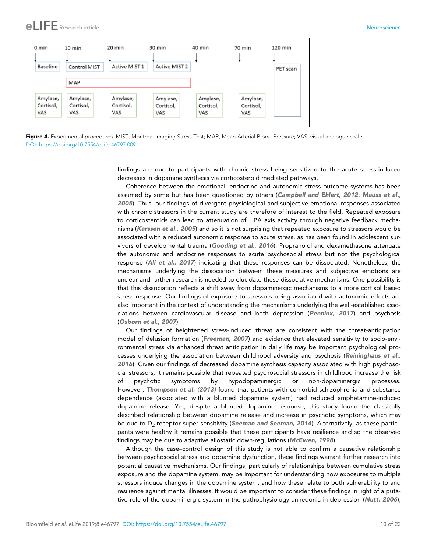<span id="page-9-0"></span>

Figure 4. Experimental procedures. MIST, Montreal Imaging Stress Test; MAP, Mean Arterial Blood Pressure; VAS, visual analogue scale. [DOI: https://doi.org/10.7554/eLife.46797.009](https://doi.org/10.7554/eLife.46797.009)

findings are due to participants with chronic stress being sensitized to the acute stress-induced decreases in dopamine synthesis via corticosteroid mediated pathways.

Coherence between the emotional, endocrine and autonomic stress outcome systems has been assumed by some but has been questioned by others ([Campbell and Ehlert, 2012](#page-15-0); [Mauss et al.,](#page-18-0) [2005](#page-18-0)). Thus, our findings of divergent physiological and subjective emotional responses associated with chronic stressors in the current study are therefore of interest to the field. Repeated exposure to corticosteroids can lead to attenuation of HPA axis activity through negative feedback mechanisms ([Karssen et al., 2005](#page-17-0)) and so it is not surprising that repeated exposure to stressors would be associated with a reduced autonomic response to acute stress, as has been found in adolescent sur-vivors of developmental trauma ([Gooding et al., 2016](#page-17-0)). Propranolol and dexamethasone attenuate the autonomic and endocrine responses to acute psychosocial stress but not the psychological response ([Ali et al., 2017](#page-15-0)) indicating that these responses can be dissociated. Nonetheless, the mechanisms underlying the dissociation between these measures and subjective emotions are unclear and further research is needed to elucidate these dissociative mechanisms. One possibility is that this dissociation reflects a shift away from dopaminergic mechanisms to a more cortisol based stress response. Our findings of exposure to stressors being associated with autonomic effects are also important in the context of understanding the mechanisms underlying the well-established associations between cardiovascular disease and both depression ([Penninx, 2017](#page-19-0)) and psychosis ([Osborn et al., 2007](#page-19-0)).

Our findings of heightened stress-induced threat are consistent with the threat-anticipation model of delusion formation ([Freeman, 2007](#page-16-0)) and evidence that elevated sensitivity to socio-environmental stress via enhanced threat anticipation in daily life may be important psychological processes underlying the association between childhood adversity and psychosis ([Reininghaus et al.,](#page-19-0) [2016](#page-19-0)). Given our findings of decreased dopamine synthesis capacity associated with high psychosocial stressors, it remains possible that repeated psychosocial stressors in childhood increase the risk of psychotic symptoms by hypodopaminergic or non-dopaminergic processes. However, [Thompson et al. \(2013\)](#page-20-0) found that patients with comorbid schizophrenia and substance dependence (associated with a blunted dopamine system) had reduced amphetamine-induced dopamine release. Yet, despite a blunted dopamine response, this study found the classically described relationship between dopamine release and increase in psychotic symptoms, which may be due to  $D<sub>2</sub>$  receptor super-sensitivity ([Seeman and Seeman, 2014](#page-20-0)). Alternatively, as these participants were healthy it remains possible that these participants have resilience and so the observed findings may be due to adaptive allostatic down-regulations ([McEwen, 1998](#page-18-0)).

Although the case–control design of this study is not able to confirm a causative relationship between psychosocial stress and dopamine dysfunction, these findings warrant further research into potential causative mechanisms. Our findings, particularly of relationships between cumulative stress exposure and the dopamine system, may be important for understanding how exposures to multiple stressors induce changes in the dopamine system, and how these relate to both vulnerability to and resilience against mental illnesses. It would be important to consider these findings in light of a puta-tive role of the dopaminergic system in the pathophysiology anhedonia in depression ([Nutt, 2006](#page-19-0)),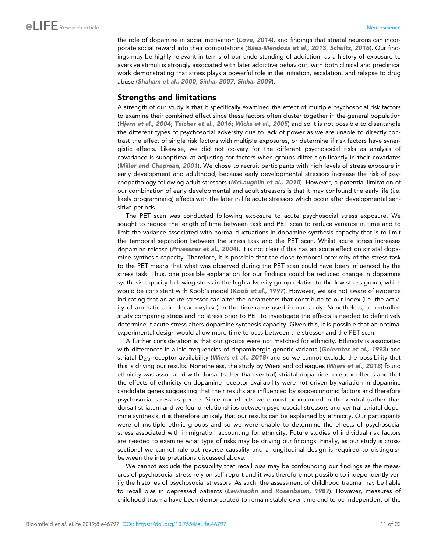the role of dopamine in social motivation ([Love, 2014](#page-18-0)), and findings that striatal neurons can incor-porate social reward into their computations (Báez-Mendoza et al., 2013; [Schultz, 2016](#page-19-0)). Our findings may be highly relevant in terms of our understanding of addiction, as a history of exposure to aversive stimuli is strongly associated with later addictive behaviour, with both clinical and preclinical work demonstrating that stress plays a powerful role in the initiation, escalation, and relapse to drug abuse ([Shaham et al., 2000](#page-20-0); [Sinha, 2007](#page-20-0); [Sinha, 2009](#page-20-0)).

### Strengths and limitations

A strength of our study is that it specifically examined the effect of multiple psychosocial risk factors to examine their combined effect since these factors often cluster together in the general population ([Hjern et al., 2004](#page-17-0); [Teicher et al., 2016](#page-20-0); [Wicks et al., 2005](#page-21-0)) and so it is not possible to disentangle the different types of psychosocial adversity due to lack of power as we are unable to directly contrast the effect of single risk factors with multiple exposures, or determine if risk factors have synergistic effects. Likewise, we did not co-vary for the different psychosocial risks as analysis of covariance is suboptimal at adjusting for factors when groups differ significantly in their covariates ([Miller and Chapman, 2001](#page-18-0)). We chose to recruit participants with high levels of stress exposure in early development and adulthood, because early developmental stressors increase the risk of psychopathology following adult stressors ([McLaughlin et al., 2010](#page-18-0)). However, a potential limitation of our combination of early developmental and adult stressors is that it may confound the early life (i.e. likely programming) effects with the later in life acute stressors which occur after developmental sensitive periods.

The PET scan was conducted following exposure to acute psychosocial stress exposure. We sought to reduce the length of time between task and PET scan to reduce variance in time and to limit the variance associated with normal fluctuations in dopamine synthesis capacity that is to limit the temporal separation between the stress task and the PET scan. Whilst acute stress increases dopamine release ([Pruessner et al., 2004](#page-19-0)), it is not clear if this has an acute effect on striatal dopamine synthesis capacity. Therefore, it is possible that the close temporal proximity of the stress task to the PET means that what was observed during the PET scan could have been influenced by the stress task. Thus, one possible explanation for our findings could be reduced change in dopamine synthesis capacity following stress in the high adversity group relative to the low stress group, which would be consistent with Koob's model ([Koob et al., 1997](#page-17-0)). However, we are not aware of evidence indicating that an acute stressor can alter the parameters that contribute to our index (i.e. the activity of aromatic acid decarboxylase) in the timeframe used in our study. Nonetheless, a controlled study comparing stress and no stress prior to PET to investigate the effects is needed to definitively determine if acute stress alters dopamine synthesis capacity. Given this, it is possible that an optimal experimental design would allow more time to pass between the stressor and the PET scan.

A further consideration is that our groups were not matched for ethnicity. Ethnicity is associated with differences in allele frequencies of dopaminergic genetic variants ([Gelernter et al., 1993](#page-17-0)) and striatal  $D_{2/3}$  receptor availability ([Wiers et al., 2018](#page-21-0)) and so we cannot exclude the possibility that this is driving our results. Nonetheless, the study by Wiers and colleagues ([Wiers et al., 2018](#page-21-0)) found ethnicity was associated with dorsal (rather than ventral) striatal dopamine receptor effects and that the effects of ethnicity on dopamine receptor availability were not driven by variation in dopamine candidate genes suggesting that their results are influenced by socioeconomic factors and therefore psychosocial stressors per se. Since our effects were most pronounced in the ventral (rather than dorsal) striatum and we found relationships between psychosocial stressors and ventral striatal dopamine synthesis, it is therefore unlikely that our results can be explained by ethnicity. Our participants were of multiple ethnic groups and so we were unable to determine the effects of psychosocial stress associated with immigration accounting for ethnicity. Future studies of individual risk factors are needed to examine what type of risks may be driving our findings. Finally, as our study is crosssectional we cannot rule out reverse causality and a longitudinal design is required to distinguish between the interpretations discussed above.

We cannot exclude the possibility that recall bias may be confounding our findings as the measures of psychosocial stress rely on self-report and it was therefore not possible to independently verify the histories of psychosocial stressors. As such, the assessment of childhood trauma may be liable to recall bias in depressed patients ([Lewinsohn and Rosenbaum, 1987](#page-18-0)). However, measures of childhood trauma have been demonstrated to remain stable over time and to be independent of the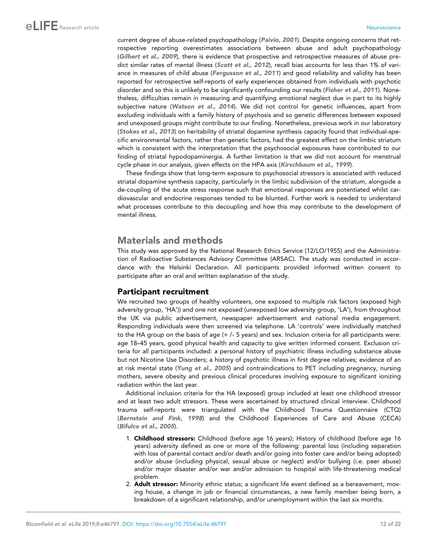current degree of abuse-related psychopathology ([Paivio, 2001](#page-19-0)). Despite ongoing concerns that retrospective reporting overestimates associations between abuse and adult psychopathology ([Gilbert et al., 2009](#page-17-0)), there is evidence that prospective and retrospective measures of abuse pre-dict similar rates of mental illness ([Scott et al., 2012](#page-19-0)), recall bias accounts for less than 1% of vari-ance in measures of child abuse ([Fergusson et al., 2011](#page-16-0)) and good reliability and validity has been reported for retrospective self-reports of early experiences obtained from individuals with psychotic disorder and so this is unlikely to be significantly confounding our results ([Fisher et al., 2011](#page-16-0)). Nonetheless, difficulties remain in measuring and quantifying emotional neglect due in part to its highly subjective nature ([Watson et al., 2014](#page-20-0)). We did not control for genetic influences, apart from excluding individuals with a family history of psychosis and so genetic differences between exposed and unexposed groups might contribute to our finding. Nonetheless, previous work in our laboratory ([Stokes et al., 2013](#page-20-0)) on heritability of striatal dopamine synthesis capacity found that individual-specific environmental factors, rather than genetic factors, had the greatest effect on the limbic striatum which is consistent with the interpretation that the psychosocial exposures have contributed to our finding of striatal hypodopaminergia. A further limitation is that we did not account for menstrual cycle phase in our analysis, given effects on the HPA axis ([Kirschbaum et al., 1999](#page-17-0)).

These findings show that long-term exposure to psychosocial stressors is associated with reduced striatal dopamine synthesis capacity, particularly in the limbic subdivision of the striatum, alongside a de-coupling of the acute stress response such that emotional responses are potentiated whilst cardiovascular and endocrine responses tended to be blunted. Further work is needed to understand what processes contribute to this decoupling and how this may contribute to the development of mental illness.

## Materials and methods

This study was approved by the National Research Ethics Service (12/LO/1955) and the Administration of Radioactive Substances Advisory Committee (ARSAC). The study was conducted in accordance with the Helsinki Declaration. All participants provided informed written consent to participate after an oral and written explanation of the study.

## Participant recruitment

We recruited two groups of healthy volunteers, one exposed to multiple risk factors (exposed high adversity group, 'HA')) and one not exposed (unexposed low adversity group, 'LA'), from throughout the UK via public advertisement, newspaper advertisement and national media engagement. Responding individuals were then screened via telephone. LA 'controls' were individually matched to the HA group on the basis of age (+ /- 5 years) and sex. Inclusion criteria for all participants were: age 18–45 years, good physical health and capacity to give written informed consent. Exclusion criteria for all participants included: a personal history of psychiatric illness including substance abuse but not Nicotine Use Disorders; a history of psychotic illness in first degree relatives; evidence of an at risk mental state ([Yung et al., 2005](#page-21-0)) and contraindications to PET including pregnancy, nursing mothers, severe obesity and previous clinical procedures involving exposure to significant ionizing radiation within the last year.

Additional inclusion criteria for the HA (exposed) group included at least one childhood stressor and at least two adult stressors. These were ascertained by structured clinical interview. Childhood trauma self-reports were triangulated with the Childhood Trauma Questionnaire (CTQ) ([Bernstein and Fink, 1998](#page-15-0)) and the Childhood Experiences of Care and Abuse (CECA) ([Bifulco et al., 2005](#page-15-0)).

- 1. Childhood stressors: Childhood (before age 16 years); History of childhood (before age 16 years) adversity defined as one or more of the following: parental loss (including separation with loss of parental contact and/or death and/or going into foster care and/or being adopted) and/or abuse (including physical, sexual abuse or neglect) and/or bullying (i.e. peer abuse) and/or major disaster and/or war and/or admission to hospital with life-threatening medical problem.
- 2. Adult stressor: Minority ethnic status; a significant life event defined as a bereavement, moving house, a change in job or financial circumstances, a new family member being born, a breakdown of a significant relationship, and/or unemployment within the last six months.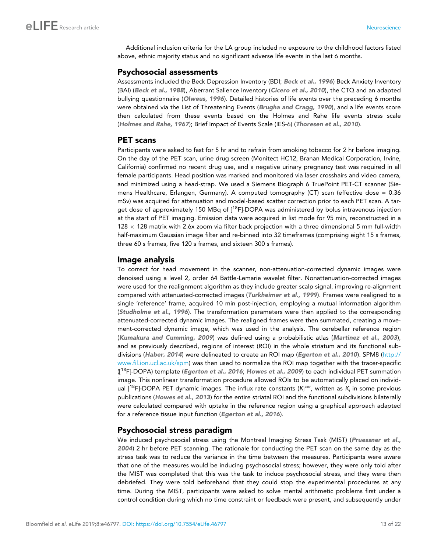Additional inclusion criteria for the LA group included no exposure to the childhood factors listed above, ethnic majority status and no significant adverse life events in the last 6 months.

### Psychosocial assessments

Assessments included the Beck Depression Inventory (BDI; [Beck et al., 1996](#page-15-0)) Beck Anxiety Inventory (BAI) ([Beck et al., 1988](#page-15-0)), Aberrant Salience Inventory ([Cicero et al., 2010](#page-16-0)), the CTQ and an adapted bullying questionnaire ([Olweus, 1996](#page-19-0)). Detailed histories of life events over the preceding 6 months were obtained via the List of Threatening Events ([Brugha and Cragg, 1990](#page-15-0)), and a life events score then calculated from these events based on the Holmes and Rahe life events stress scale ([Holmes and Rahe, 1967](#page-17-0)); Brief Impact of Events Scale (IES-6) ([Thoresen et al., 2010](#page-20-0)).

### PET scans

Participants were asked to fast for 5 hr and to refrain from smoking tobacco for 2 hr before imaging. On the day of the PET scan, urine drug screen (Monitect HC12, Branan Medical Corporation, Irvine, California) confirmed no recent drug use, and a negative urinary pregnancy test was required in all female participants. Head position was marked and monitored via laser crosshairs and video camera, and minimized using a head-strap. We used a Siemens Biograph 6 TruePoint PET-CT scanner (Siemens Healthcare, Erlangen, Germany). A computed tomography (CT) scan (effective dose = 0.36 mSv) was acquired for attenuation and model-based scatter correction prior to each PET scan. A target dose of approximately 150 MBq of  $[18F]$ -DOPA was administered by bolus intravenous injection at the start of PET imaging. Emission data were acquired in list mode for 95 min, reconstructed in a 128  $\times$  128 matrix with 2.6x zoom via filter back projection with a three dimensional 5 mm full-width half-maximum Gaussian image filter and re-binned into 32 timeframes (comprising eight 15 s frames, three 60 s frames, five 120 s frames, and sixteen 300 s frames).

### Image analysis

To correct for head movement in the scanner, non-attenuation-corrected dynamic images were denoised using a level 2, order 64 Battle-Lemarie wavelet filter. Nonattenuation-corrected images were used for the realignment algorithm as they include greater scalp signal, improving re-alignment compared with attenuated-corrected images ([Turkheimer et al., 1999](#page-20-0)). Frames were realigned to a single 'reference' frame, acquired 10 min post-injection, employing a mutual information algorithm ([Studholme et al., 1996](#page-20-0)). The transformation parameters were then applied to the corresponding attenuated-corrected dynamic images. The realigned frames were then summated, creating a movement-corrected dynamic image, which was used in the analysis. The cerebellar reference region ([Kumakura and Cumming, 2009](#page-18-0)) was defined using a probabilistic atlas ([Martinez et al., 2003](#page-18-0)), and as previously described, regions of interest (ROI) in the whole striatum and its functional sub-divisions ([Haber, 2014](#page-17-0)) were delineated to create an ROI map ([Egerton et al., 2010](#page-16-0)). SPM8 ([http://](http://www.fil.ion.ucl.ac.uk/spm) [www.fil.ion.ucl.ac.uk/spm\)](http://www.fil.ion.ucl.ac.uk/spm) was then used to normalize the ROI map together with the tracer-specific  $(I^{18}F]$ -DOPA) template ([Egerton et al., 2016](#page-16-0); [Howes et al., 2009](#page-17-0)) to each individual PET summation image. This nonlinear transformation procedure allowed ROIs to be automatically placed on individual [18F]-DOPA PET dynamic images. The influx rate constants (*K<sup>i</sup> cer*, written as *K<sup>i</sup>* in some previous publications ([Howes et al., 2013](#page-17-0)) for the entire striatal ROI and the functional subdivisions bilaterally were calculated compared with uptake in the reference region using a graphical approach adapted for a reference tissue input function ([Egerton et al., 2016](#page-16-0)).

## Psychosocial stress paradigm

We induced psychosocial stress using the Montreal Imaging Stress Task (MIST) ([Pruessner et al.,](#page-19-0) [2004](#page-19-0)) 2 hr before PET scanning. The rationale for conducting the PET scan on the same day as the stress task was to reduce the variance in the time between the measures. Participants were aware that one of the measures would be inducing psychosocial stress; however, they were only told after the MIST was completed that this was the task to induce psychosocial stress, and they were then debriefed. They were told beforehand that they could stop the experimental procedures at any time. During the MIST, participants were asked to solve mental arithmetic problems first under a control condition during which no time constraint or feedback were present, and subsequently under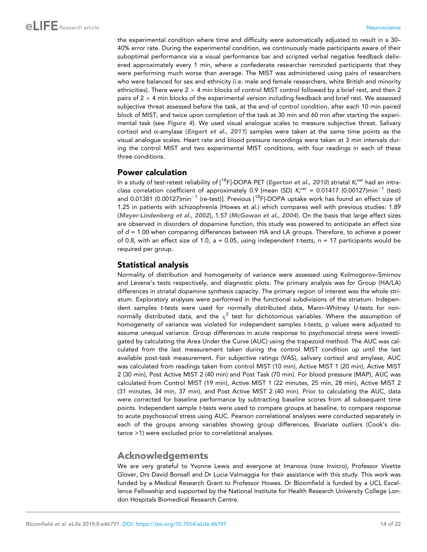the experimental condition where time and difficulty were automatically adjusted to result in a 30– 40% error rate. During the experimental condition, we continuously made participants aware of their suboptimal performance via a visual performance bar and scripted verbal negative feedback delivered approximately every 1 min, where a confederate researcher reminded participants that they were performing much worse than average. The MIST was administered using pairs of researchers who were balanced for sex and ethnicity (i.e. male and female researchers, white British and minority ethnicities). There were 2  $\times$  4 min blocks of control MIST control followed by a brief rest, and then 2 pairs of 2  $\times$  4 min blocks of the experimental version including feedback and brief rest. We assessed subjective threat assessed before the task, at the end of control condition, after each 10 min paired block of MIST, and twice upon completion of the task at 30 min and 60 min after starting the experimental task (see [Figure 4](#page-9-0)). We used visual analogue scales to measure subjective threat. Salivary cortisol and  $\alpha$ -amylase ([Engert et al., 2011](#page-16-0)) samples were taken at the same time points as the visual analogue scales. Heart rate and blood pressure recordings were taken at 3 min intervals during the control MIST and two experimental MIST conditions, with four readings in each of these three conditions.

## Power calculation

In a study of test-retest reliability of [18F]-DOPA PET ([Egerton et al., 2010](#page-16-0)) striatal *K<sup>i</sup> cer* had an intraclass correlation coefficient of approximately 0.9 [mean (SD)  $K_i^{cer} = 0.01417$  (0.00127)min<sup>-1</sup> (test) and 0.01381 (0.00127)min<sup>-1</sup> (re-test)]. Previous [<sup>18</sup>F]-DOPA uptake work has found an effect size of 1.25 in patients with schizophrenia (Howes et al.) which compares well with previous studies: 1.89 ([Meyer-Lindenberg et al., 2002](#page-18-0)), 1.57 ([McGowan et al., 2004](#page-18-0)). On the basis that large effect sizes are observed in disorders of dopamine function, this study was powered to anticipate an effect size of *d* = 1.00 when comparing differences between HA and LA groups. Therefore, to achieve a power of 0.8, with an effect size of 1.0, *a* = 0.05, using independent *t*-tests, *n* = 17 participants would be required per group.

## Statistical analysis

Normality of distribution and homogeneity of variance were assessed using Kolmogorov–Smirnov and Levene's tests respectively, and diagnostic plots. The primary analysis was for Group (HA/LA) differences in striatal dopamine synthesis capacity. The primary region of interest was the whole striatum. Exploratory analyses were performed in the functional subdivisions of the striatum. Independent samples *t*-tests were used for normally distributed data, Mann–Whitney *U*-tests for nonnormally distributed data, and the  $\chi^2$  test for dichotomous variables. Where the assumption of homogeneity of variance was violated for independent samples *t*-tests, p values were adjusted to assume unequal variance. Group differences in acute response to psychosocial stress were investigated by calculating the Area Under the Curve (AUC) using the trapezoid method. The AUC was calculated from the last measurement taken during the control MIST condition up until the last available post-task measurement. For subjective ratings (VAS), salivary cortisol and amylase, AUC was calculated from readings taken from control MIST (10 min), Active MIST 1 (20 min), Active MIST 2 (30 min), Post Active MIST 2 (40 min) and Post Task (70 min). For blood pressure (MAP), AUC was calculated from Control MIST (19 min), Active MIST 1 (22 minutes, 25 min, 28 min), Active MIST 2 (31 minutes, 34 min, 37 min), and Post Active MIST 2 (40 min). Prior to calculating the AUC, data were corrected for baseline performance by subtracting baseline scores from all subsequent time points. Independent sample *t*-tests were used to compare groups at baseline, to compare response to acute psychosocial stress using AUC. Pearson correlational analyses were conducted separately in each of the groups among variables showing group differences. Bivariate outliers (Cook's distance >1) were excluded prior to correlational analyses.

## Acknowledgements

We are very grateful to Yvonne Lewis and everyone at Imanova (now Invicro), Professor Vivette Glover, Drs David Bonsall and Dr Lucia Valmaggia for their assistance with this study. This work was funded by a Medical Research Grant to Professor Howes. Dr Bloomfield is funded by a UCL Excellence Fellowship and supported by the National Institute for Health Research University College London Hospitals Biomedical Research Centre.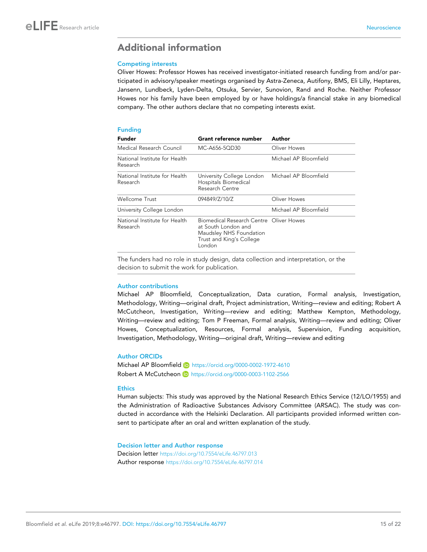## <span id="page-14-0"></span>Additional information

#### Competing interests

Oliver Howes: Professor Howes has received investigator-initiated research funding from and/or participated in advisory/speaker meetings organised by Astra-Zeneca, Autifony, BMS, Eli Lilly, Heptares, Jansenn, Lundbeck, Lyden-Delta, Otsuka, Servier, Sunovion, Rand and Roche. Neither Professor Howes nor his family have been employed by or have holdings/a financial stake in any biomedical company. The other authors declare that no competing interests exist.

#### Funding

| <b>Funder</b>                             | Grant reference number                                                                                                          | Author                |
|-------------------------------------------|---------------------------------------------------------------------------------------------------------------------------------|-----------------------|
| Medical Research Council                  | MC-A656-5OD30                                                                                                                   | Oliver Howes          |
| National Institute for Health<br>Research |                                                                                                                                 | Michael AP Bloomfield |
| National Institute for Health<br>Research | University College London<br>Hospitals Biomedical<br>Research Centre                                                            | Michael AP Bloomfield |
| Wellcome Trust                            | 094849/Z/10/Z                                                                                                                   | Oliver Howes          |
| University College London                 |                                                                                                                                 | Michael AP Bloomfield |
| National Institute for Health<br>Research | Biomedical Research Centre Oliver Howes<br>at South London and<br>Maudsley NHS Foundation<br>Trust and King's College<br>London |                       |

The funders had no role in study design, data collection and interpretation, or the decision to submit the work for publication.

#### Author contributions

Michael AP Bloomfield, Conceptualization, Data curation, Formal analysis, Investigation, Methodology, Writing—original draft, Project administration, Writing—review and editing; Robert A McCutcheon, Investigation, Writing—review and editing; Matthew Kempton, Methodology, Writing—review and editing; Tom P Freeman, Formal analysis, Writing—review and editing; Oliver Howes, Conceptualization, Resources, Formal analysis, Supervision, Funding acquisition, Investigation, Methodology, Writing—original draft, Writing—review and editing

#### Author ORCIDs

Michael AP Bloomfield iD <https://orcid.org/0000-0002-1972-4610> Robert A McCutcheon iD <https://orcid.org/0000-0003-1102-2566>

#### **Ethics**

Human subjects: This study was approved by the National Research Ethics Service (12/LO/1955) and the Administration of Radioactive Substances Advisory Committee (ARSAC). The study was conducted in accordance with the Helsinki Declaration. All participants provided informed written consent to participate after an oral and written explanation of the study.

Decision letter and Author response Decision letter <https://doi.org/10.7554/eLife.46797.013> Author response <https://doi.org/10.7554/eLife.46797.014>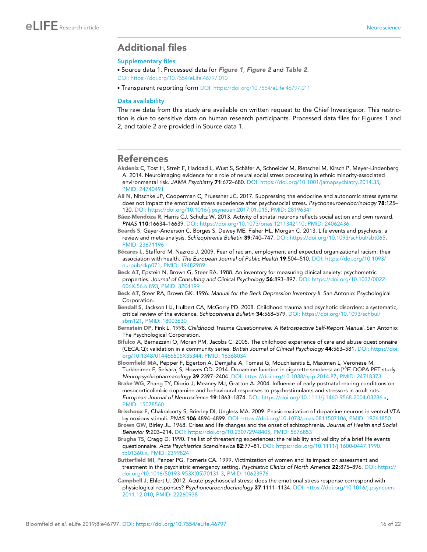## <span id="page-15-0"></span>Additional files

#### Supplementary files

. Source data 1. Processed data for [Figure 1](#page-4-0), [Figure 2](#page-7-0) and [Table 2](#page-5-0). [DOI: https://doi.org/10.7554/eLife.46797.010](https://doi.org/10.7554/eLife.46797.010)

. Transparent reporting form [DOI: https://doi.org/10.7554/eLife.46797.011](https://doi.org/10.7554/eLife.46797.011)

#### Data availability

The raw data from this study are available on written request to the Chief Investigator. This restriction is due to sensitive data on human research participants. Processed data files for Figures 1 and 2, and table 2 are provided in Source data 1.

#### References

- Akdeniz C, Tost H, Streit F, Haddad L, Wüst S, Schäfer A, Schneider M, Rietschel M, Kirsch P, Meyer-Lindenberg A. 2014. Neuroimaging evidence for a role of neural social stress processing in ethnic minority-associated environmental risk. *JAMA Psychiatry* 71:672–680. DOI:<https://doi.org/10.1001/jamapsychiatry.2014.35>, PMID: [24740491](http://www.ncbi.nlm.nih.gov/pubmed/24740491)
- Ali N, Nitschke JP, Cooperman C, Pruessner JC. 2017. Suppressing the endocrine and autonomic stress systems does not impact the emotional stress experience after psychosocial stress. *Psychoneuroendocrinology* 78:125– 130. DOI: [https://doi.org/10.1016/j.psyneuen.2017.01.015,](https://doi.org/10.1016/j.psyneuen.2017.01.015) PMID: [28196341](http://www.ncbi.nlm.nih.gov/pubmed/28196341)
- Báez-Mendoza R, Harris CJ, Schultz W. 2013. Activity of striatal neurons reflects social action and own reward. *PNAS* 110:16634–16639. DOI: [https://doi.org/10.1073/pnas.1211342110,](https://doi.org/10.1073/pnas.1211342110) PMID: [24062436](http://www.ncbi.nlm.nih.gov/pubmed/24062436)
- Beards S, Gayer-Anderson C, Borges S, Dewey ME, Fisher HL, Morgan C. 2013. Life events and psychosis: a review and meta-analysis. *Schizophrenia Bulletin* 39:740–747. DOI: [https://doi.org/10.1093/schbul/sbt065,](https://doi.org/10.1093/schbul/sbt065) PMID: [23671196](http://www.ncbi.nlm.nih.gov/pubmed/23671196)
- Bécares L, Stafford M, Nazroo J. 2009. Fear of racism, employment and expected organizational racism: their association with health. *The European Journal of Public Health* 19:504–510. DOI: [https://doi.org/10.1093/](https://doi.org/10.1093/eurpub/ckp071) [eurpub/ckp071](https://doi.org/10.1093/eurpub/ckp071), PMID: [19482989](http://www.ncbi.nlm.nih.gov/pubmed/19482989)
- Beck AT, Epstein N, Brown G, Steer RA. 1988. An inventory for measuring clinical anxiety: psychometric properties. *Journal of Consulting and Clinical Psychology* 56:893–897. DOI: [https://doi.org/10.1037/0022-](https://doi.org/10.1037/0022-006X.56.6.893) [006X.56.6.893,](https://doi.org/10.1037/0022-006X.56.6.893) PMID: [3204199](http://www.ncbi.nlm.nih.gov/pubmed/3204199)
- Beck AT, Steer RA, Brown GK. 1996. *Manual for the Beck Depression Inventory-II*. San Antonio: Psychological Corporation.
- Bendall S, Jackson HJ, Hulbert CA, McGorry PD. 2008. Childhood trauma and psychotic disorders: a systematic, critical review of the evidence. *Schizophrenia Bulletin* 34:568–579. DOI: [https://doi.org/10.1093/schbul/](https://doi.org/10.1093/schbul/sbm121) [sbm121,](https://doi.org/10.1093/schbul/sbm121) PMID: [18003630](http://www.ncbi.nlm.nih.gov/pubmed/18003630)
- Bernstein DP, Fink L. 1998. *Childhood Trauma Questionnaire: A Retrospective Self-Report Manual*. San Antonio: The Psychological Corporation.
- Bifulco A, Bernazzani O, Moran PM, Jacobs C. 2005. The childhood experience of care and abuse questionnaire (CECA.Q): validation in a community series. *British Journal of Clinical Psychology* 44:563–581. DOI: [https://doi.](https://doi.org/10.1348/014466505X35344) [org/10.1348/014466505X35344,](https://doi.org/10.1348/014466505X35344) PMID: [16368034](http://www.ncbi.nlm.nih.gov/pubmed/16368034)
- Bloomfield MA, Pepper F, Egerton A, Demjaha A, Tomasi G, Mouchlianitis E, Maximen L, Veronese M, Turkheimer F, Selvaraj S, Howes OD. 2014. Dopamine function in cigarette smokers: an [<sup>18</sup>F]-DOPA PET study. *Neuropsychopharmacology* 39:2397–2404. DOI: [https://doi.org/10.1038/npp.2014.87,](https://doi.org/10.1038/npp.2014.87) PMID: [24718373](http://www.ncbi.nlm.nih.gov/pubmed/24718373)
- Brake WG, Zhang TY, Diorio J, Meaney MJ, Gratton A. 2004. Influence of early postnatal rearing conditions on mesocorticolimbic dopamine and behavioural responses to psychostimulants and stressors in adult rats. *European Journal of Neuroscience* 19:1863–1874. DOI: [https://doi.org/10.1111/j.1460-9568.2004.03286.x,](https://doi.org/10.1111/j.1460-9568.2004.03286.x) PMID: [15078560](http://www.ncbi.nlm.nih.gov/pubmed/15078560)
- Brischoux F, Chakraborty S, Brierley DI, Ungless MA. 2009. Phasic excitation of dopamine neurons in ventral VTA by noxious stimuli. *PNAS* 106:4894–4899. DOI:<https://doi.org/10.1073/pnas.0811507106>, PMID: [19261850](http://www.ncbi.nlm.nih.gov/pubmed/19261850)
- Brown GW, Birley JL. 1968. Crises and life changes and the onset of schizophrenia. *Journal of Health and Social Behavior* 9:203–214. DOI: [https://doi.org/10.2307/2948405,](https://doi.org/10.2307/2948405) PMID: [5676853](http://www.ncbi.nlm.nih.gov/pubmed/5676853)
- Brugha TS, Cragg D. 1990. The list of threatening experiences: the reliability and validity of a brief life events questionnaire. *Acta Psychiatrica Scandinavica* 82:77–81. DOI: [https://doi.org/10.1111/j.1600-0447.1990.](https://doi.org/10.1111/j.1600-0447.1990.tb01360.x) [tb01360.x](https://doi.org/10.1111/j.1600-0447.1990.tb01360.x), PMID: [2399824](http://www.ncbi.nlm.nih.gov/pubmed/2399824)
- Butterfield MI, Panzer PG, Forneris CA. 1999. Victimization of women and its impact on assessment and treatment in the psychiatric emergency setting. *Psychiatric Clinics of North America* 22:875–896. DOI: [https://](https://doi.org/10.1016/S0193-953X(05)70131-3) [doi.org/10.1016/S0193-953X\(05\)70131-3](https://doi.org/10.1016/S0193-953X(05)70131-3), PMID: [10623976](http://www.ncbi.nlm.nih.gov/pubmed/10623976)
- Campbell J, Ehlert U. 2012. Acute psychosocial stress: does the emotional stress response correspond with physiological responses? *Psychoneuroendocrinology* 37:1111–1134. DOI: [https://doi.org/10.1016/j.psyneuen.](https://doi.org/10.1016/j.psyneuen.2011.12.010) [2011.12.010](https://doi.org/10.1016/j.psyneuen.2011.12.010), PMID: [22260938](http://www.ncbi.nlm.nih.gov/pubmed/22260938)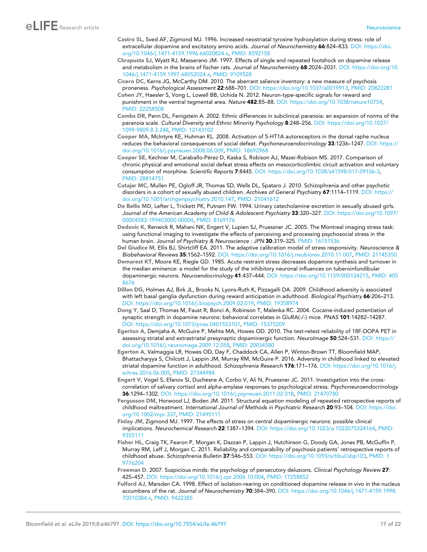- <span id="page-16-0"></span>Castro SL, Sved AF, Zigmond MJ. 1996. Increased neostriatal tyrosine hydroxylation during stress: role of extracellular dopamine and excitatory amino acids. *Journal of Neurochemistry* 66:824–833. DOI: [https://doi.](https://doi.org/10.1046/j.1471-4159.1996.66020824.x) [org/10.1046/j.1471-4159.1996.66020824.x,](https://doi.org/10.1046/j.1471-4159.1996.66020824.x) PMID: [8592158](http://www.ncbi.nlm.nih.gov/pubmed/8592158)
- Chrapusta SJ, Wyatt RJ, Masserano JM. 1997. Effects of single and repeated footshock on dopamine release and metabolism in the brains of fischer rats. *Journal of Neurochemistry* 68:2024–2031. DOI: [https://doi.org/10.](https://doi.org/10.1046/j.1471-4159.1997.68052024.x) [1046/j.1471-4159.1997.68052024.x](https://doi.org/10.1046/j.1471-4159.1997.68052024.x), PMID: [9109528](http://www.ncbi.nlm.nih.gov/pubmed/9109528)
- Cicero DC, Kerns JG, McCarthy DM. 2010. The aberrant salience inventory: a new measure of psychosis proneness. *Psychological Assessment* 22:688–701. DOI:<https://doi.org/10.1037/a0019913>, PMID: [20822281](http://www.ncbi.nlm.nih.gov/pubmed/20822281)
- Cohen JY, Haesler S, Vong L, Lowell BB, Uchida N. 2012. Neuron-type-specific signals for reward and punishment in the ventral tegmental area. *Nature* 482:85–88. DOI:<https://doi.org/10.1038/nature10754>, PMID: [22258508](http://www.ncbi.nlm.nih.gov/pubmed/22258508)
- Combs DR, Penn DL, Fenigstein A. 2002. Ethnic differences in subclinical paranoia: an expansion of norms of the paranoia scale. *Cultural Diversity and Ethnic Minority Psychology* 8:248–256. DOI: [https://doi.org/10.1037/](https://doi.org/10.1037/1099-9809.8.3.248) [1099-9809.8.3.248,](https://doi.org/10.1037/1099-9809.8.3.248) PMID: [12143102](http://www.ncbi.nlm.nih.gov/pubmed/12143102)
- Cooper MA, McIntyre KE, Huhman KL. 2008. Activation of 5-HT1A autoreceptors in the dorsal raphe nucleus reduces the behavioral consequences of social defeat. *Psychoneuroendocrinology* 33:1236–1247. DOI: [https://](https://doi.org/10.1016/j.psyneuen.2008.06.009) [doi.org/10.1016/j.psyneuen.2008.06.009,](https://doi.org/10.1016/j.psyneuen.2008.06.009) PMID: [18692968](http://www.ncbi.nlm.nih.gov/pubmed/18692968)
- Cooper SE, Kechner M, Caraballo-Pérez D, Kaska S, Robison AJ, Mazei-Robison MS. 2017. Comparison of chronic physical and emotional social defeat stress effects on mesocorticolimbic circuit activation and voluntary consumption of morphine. *Scientific Reports* 7:8445. DOI: [https://doi.org/10.1038/s41598-017-09106-3,](https://doi.org/10.1038/s41598-017-09106-3) PMID: [28814751](http://www.ncbi.nlm.nih.gov/pubmed/28814751)
- Cutajar MC, Mullen PE, Ogloff JR, Thomas SD, Wells DL, Spataro J. 2010. Schizophrenia and other psychotic disorders in a cohort of sexually abused children. *Archives of General Psychiatry* 67:1114–1119. DOI: [https://](https://doi.org/10.1001/archgenpsychiatry.2010.147) [doi.org/10.1001/archgenpsychiatry.2010.147,](https://doi.org/10.1001/archgenpsychiatry.2010.147) PMID: [21041612](http://www.ncbi.nlm.nih.gov/pubmed/21041612)
- De Bellis MD, Lefter L, Trickett PK, Putnam FW. 1994. Urinary catecholamine excretion in sexually abused girls. *Journal of the American Academy of Child & Adolescent Psychiatry* 33:320–327. DOI: [https://doi.org/10.1097/](https://doi.org/10.1097/00004583-199403000-00004) [00004583-199403000-00004](https://doi.org/10.1097/00004583-199403000-00004), PMID: [8169176](http://www.ncbi.nlm.nih.gov/pubmed/8169176)
- Dedovic K, Renwick R, Mahani NK, Engert V, Lupien SJ, Pruessner JC. 2005. The Montreal imaging stress task: using functional imaging to investigate the effects of perceiving and processing psychosocial stress in the human brain. *Journal of Psychiatry & Neuroscience : JPN* 30:319–325. PMID: [16151536](http://www.ncbi.nlm.nih.gov/pubmed/16151536)
- Del Giudice M, Ellis BJ, Shirtcliff EA. 2011. The adaptive calibration model of stress responsivity. *Neuroscience & Biobehavioral Reviews* 35:1562–1592. DOI:<https://doi.org/10.1016/j.neubiorev.2010.11.007>, PMID: [21145350](http://www.ncbi.nlm.nih.gov/pubmed/21145350)
- Demarest KT, Moore KE, Riegle GD. 1985. Acute restraint stress decreases dopamine synthesis and turnover in the median eminence: a model for the study of the inhibitory neuronal influences on tuberoinfundibular dopaminergic neurons. *Neuroendocrinology* 41:437–444. DOI: [https://doi.org/10.1159/000124215,](https://doi.org/10.1159/000124215) PMID: [405](http://www.ncbi.nlm.nih.gov/pubmed/4058676) [8676](http://www.ncbi.nlm.nih.gov/pubmed/4058676)
- Dillon DG, Holmes AJ, Birk JL, Brooks N, Lyons-Ruth K, Pizzagalli DA. 2009. Childhood adversity is associated with left basal ganglia dysfunction during reward anticipation in adulthood. *Biological Psychiatry* 66:206–213. DOI: [https://doi.org/10.1016/j.biopsych.2009.02.019,](https://doi.org/10.1016/j.biopsych.2009.02.019) PMID: [19358974](http://www.ncbi.nlm.nih.gov/pubmed/19358974)
- Dong Y, Saal D, Thomas M, Faust R, Bonci A, Robinson T, Malenka RC. 2004. Cocaine-induced potentiation of synaptic strength in dopamine neurons: behavioral correlates in GluRA(-/-) mice. *PNAS* 101:14282–14287. DOI: [https://doi.org/10.1073/pnas.0401553101,](https://doi.org/10.1073/pnas.0401553101) PMID: [15375209](http://www.ncbi.nlm.nih.gov/pubmed/15375209)
- Egerton A, Demjaha A, McGuire P, Mehta MA, Howes OD. 2010. The test-retest reliability of 18F-DOPA PET in assessing striatal and extrastriatal presynaptic dopaminergic function. *NeuroImage* 50:524–531. DOI: [https://](https://doi.org/10.1016/j.neuroimage.2009.12.058) [doi.org/10.1016/j.neuroimage.2009.12.058](https://doi.org/10.1016/j.neuroimage.2009.12.058), PMID: [20034580](http://www.ncbi.nlm.nih.gov/pubmed/20034580)
- Egerton A, Valmaggia LR, Howes OD, Day F, Chaddock CA, Allen P, Winton-Brown TT, Bloomfield MAP, Bhattacharyya S, Chilcott J, Lappin JM, Murray RM, McGuire P. 2016. Adversity in childhood linked to elevated striatal dopamine function in adulthood. *Schizophrenia Research* 176:171–176. DOI: [https://doi.org/10.1016/j.](https://doi.org/10.1016/j.schres.2016.06.005) [schres.2016.06.005,](https://doi.org/10.1016/j.schres.2016.06.005) PMID: [27344984](http://www.ncbi.nlm.nih.gov/pubmed/27344984)
- Engert V, Vogel S, Efanov SI, Duchesne A, Corbo V, Ali N, Pruessner JC. 2011. Investigation into the crosscorrelation of salivary cortisol and alpha-amylase responses to psychological stress. *Psychoneuroendocrinology* 36:1294–1302. DOI:<https://doi.org/10.1016/j.psyneuen.2011.02.018>, PMID: [21470780](http://www.ncbi.nlm.nih.gov/pubmed/21470780)
- Fergusson DM, Horwood LJ, Boden JM. 2011. Structural equation modeling of repeated retrospective reports of childhood maltreatment. *International Journal of Methods in Psychiatric Research* 20:93–104. DOI: [https://doi.](https://doi.org/10.1002/mpr.337) [org/10.1002/mpr.337](https://doi.org/10.1002/mpr.337), PMID: [21495111](http://www.ncbi.nlm.nih.gov/pubmed/21495111)
- Finlay JM, Zigmond MJ. 1997. The effects of stress on central dopaminergic neurons: possible clinical implications. *Neurochemical Research* 22:1387–1394. DOI:<https://doi.org/10.1023/a:1022075324164>, PMID: [9355111](http://www.ncbi.nlm.nih.gov/pubmed/9355111)
- Fisher HL, Craig TK, Fearon P, Morgan K, Dazzan P, Lappin J, Hutchinson G, Doody GA, Jones PB, McGuffin P, Murray RM, Leff J, Morgan C. 2011. Reliability and comparability of psychosis patients' retrospective reports of childhood abuse. *Schizophrenia Bulletin* 37:546–553. DOI: [https://doi.org/10.1093/schbul/sbp103,](https://doi.org/10.1093/schbul/sbp103) PMID: [1](http://www.ncbi.nlm.nih.gov/pubmed/19776204) [9776204](http://www.ncbi.nlm.nih.gov/pubmed/19776204)
- Freeman D. 2007. Suspicious minds: the psychology of persecutory delusions. *Clinical Psychology Review* 27: 425–457. DOI:<https://doi.org/10.1016/j.cpr.2006.10.004>, PMID: [17258852](http://www.ncbi.nlm.nih.gov/pubmed/17258852)
- Fulford AJ, Marsden CA. 1998. Effect of isolation-rearing on conditioned dopamine release in vivo in the nucleus accumbens of the rat. *Journal of Neurochemistry* 70:384–390. DOI: [https://doi.org/10.1046/j.1471-4159.1998.](https://doi.org/10.1046/j.1471-4159.1998.70010384.x) [70010384.x,](https://doi.org/10.1046/j.1471-4159.1998.70010384.x) PMID: [9422385](http://www.ncbi.nlm.nih.gov/pubmed/9422385)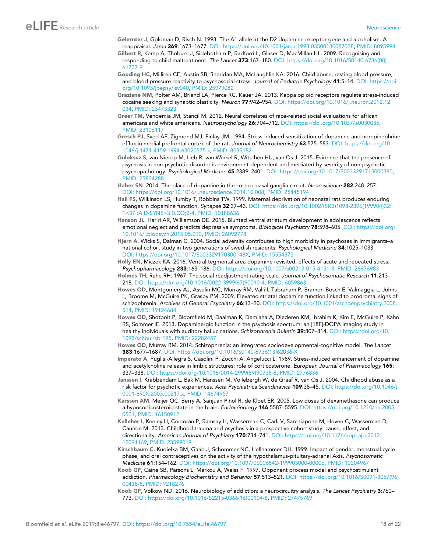# <span id="page-17-0"></span>eLIFE Research article **Neuroscience**

- Gelernter J, Goldman D, Risch N. 1993. The A1 allele at the D2 dopamine receptor gene and alcoholism. A reappraisal. *Jama* 269:1673–1677. DOI:<https://doi.org/10.1001/jama.1993.03500130087038>, PMID: [8095994](http://www.ncbi.nlm.nih.gov/pubmed/8095994)
- Gilbert R, Kemp A, Thoburn J, Sidebotham P, Radford L, Glaser D, MacMillan HL. 2009. Recognising and responding to child maltreatment. *The Lancet* 373:167–180. DOI: [https://doi.org/10.1016/S0140-6736\(08\)](https://doi.org/10.1016/S0140-6736(08)61707-9) [61707-9](https://doi.org/10.1016/S0140-6736(08)61707-9)
- Gooding HC, Milliren CE, Austin SB, Sheridan MA, McLaughlin KA. 2016. Child abuse, resting blood pressure, and blood pressure reactivity to psychosocial stress. *Journal of Pediatric Psychology* 41:5–14. DOI: [https://doi.](https://doi.org/10.1093/jpepsy/jsv040) [org/10.1093/jpepsy/jsv040,](https://doi.org/10.1093/jpepsy/jsv040) PMID: [25979082](http://www.ncbi.nlm.nih.gov/pubmed/25979082)
- Graziane NM, Polter AM, Briand LA, Pierce RC, Kauer JA. 2013. Kappa opioid receptors regulate stress-induced cocaine seeking and synaptic plasticity. *Neuron* 77:942–954. DOI: [https://doi.org/10.1016/j.neuron.2012.12.](https://doi.org/10.1016/j.neuron.2012.12.034) [034,](https://doi.org/10.1016/j.neuron.2012.12.034) PMID: [23473323](http://www.ncbi.nlm.nih.gov/pubmed/23473323)
- Greer TM, Vendemia JM, Stancil M. 2012. Neural correlates of race-related social evaluations for african americans and white americans. *Neuropsychology* 26:704–712. DOI:<https://doi.org/10.1037/a0030035>, PMID: [23106117](http://www.ncbi.nlm.nih.gov/pubmed/23106117)
- Gresch PJ, Sved AF, Zigmond MJ, Finlay JM. 1994. Stress-induced sensitization of dopamine and norepinephrine efflux in medial prefrontal cortex of the rat. *Journal of Neurochemistry* 63:575–583. DOI: [https://doi.org/10.](https://doi.org/10.1046/j.1471-4159.1994.63020575.x) [1046/j.1471-4159.1994.63020575.x](https://doi.org/10.1046/j.1471-4159.1994.63020575.x), PMID: [8035182](http://www.ncbi.nlm.nih.gov/pubmed/8035182)
- Guloksuz S, van Nierop M, Lieb R, van Winkel R, Wittchen HU, van Os J. 2015. Evidence that the presence of psychosis in non-psychotic disorder is environment-dependent and mediated by severity of non-psychotic psychopathology. *Psychological Medicine* 45:2389–2401. DOI:<https://doi.org/10.1017/S0033291715000380>, PMID: [25804288](http://www.ncbi.nlm.nih.gov/pubmed/25804288)
- Haber SN. 2014. The place of dopamine in the cortico-basal ganglia circuit. *Neuroscience* 282:248–257. DOI: [https://doi.org/10.1016/j.neuroscience.2014.10.008,](https://doi.org/10.1016/j.neuroscience.2014.10.008) PMID: [25445194](http://www.ncbi.nlm.nih.gov/pubmed/25445194)
- Hall FS, Wilkinson LS, Humby T, Robbins TW. 1999. Maternal deprivation of neonatal rats produces enduring changes in dopamine function. *Synapse* 32:37–43. DOI: [https://doi.org/10.1002/\(SICI\)1098-2396\(199904\)32:](https://doi.org/10.1002/(SICI)1098-2396(199904)32:1%3C37::AID-SYN5%3E3.0.CO;2-4) [1<37::AID-SYN5>3.0.CO;2-4,](https://doi.org/10.1002/(SICI)1098-2396(199904)32:1%3C37::AID-SYN5%3E3.0.CO;2-4) PMID: [10188636](http://www.ncbi.nlm.nih.gov/pubmed/10188636)
- Hanson JL, Hariri AR, Williamson DE. 2015. Blunted ventral striatum development in adolescence reflects emotional neglect and predicts depressive symptoms. *Biological Psychiatry* 78:598–605. DOI: [https://doi.org/](https://doi.org/10.1016/j.biopsych.2015.05.010) [10.1016/j.biopsych.2015.05.010](https://doi.org/10.1016/j.biopsych.2015.05.010), PMID: [26092778](http://www.ncbi.nlm.nih.gov/pubmed/26092778)
- Hjern A, Wicks S, Dalman C. 2004. Social adversity contributes to high morbidity in psychoses in immigrants–a national cohort study in two generations of swedish residents. *Psychological Medicine* 34:1025–1033. DOI: [https://doi.org/10.1017/S003329170300148X,](https://doi.org/10.1017/S003329170300148X) PMID: [15554573](http://www.ncbi.nlm.nih.gov/pubmed/15554573)
- Holly EN, Miczek KA. 2016. Ventral tegmental area dopamine revisited: effects of acute and repeated stress. *Psychopharmacology* 233:163–186. DOI: [https://doi.org/10.1007/s00213-015-4151-3,](https://doi.org/10.1007/s00213-015-4151-3) PMID: [26676983](http://www.ncbi.nlm.nih.gov/pubmed/26676983)
- Holmes TH, Rahe RH. 1967. The social readjustment rating scale. *Journal of Psychosomatic Research* 11:213– 218. DOI: [https://doi.org/10.1016/0022-3999\(67\)90010-4](https://doi.org/10.1016/0022-3999(67)90010-4), PMID: [6059863](http://www.ncbi.nlm.nih.gov/pubmed/6059863)
- Howes OD, Montgomery AJ, Asselin MC, Murray RM, Valli I, Tabraham P, Bramon-Bosch E, Valmaggia L, Johns L, Broome M, McGuire PK, Grasby PM. 2009. Elevated striatal dopamine function linked to prodromal signs of schizophrenia. *Archives of General Psychiatry* 66:13–20. DOI: [https://doi.org/10.1001/archgenpsychiatry.2008.](https://doi.org/10.1001/archgenpsychiatry.2008.514) [514,](https://doi.org/10.1001/archgenpsychiatry.2008.514) PMID: [19124684](http://www.ncbi.nlm.nih.gov/pubmed/19124684)
- Howes OD, Shotbolt P, Bloomfield M, Daalman K, Demjaha A, Diederen KM, Ibrahim K, Kim E, McGuire P, Kahn RS, Sommer IE. 2013. Dopaminergic function in the psychosis spectrum: an [18F]-DOPA imaging study in healthy individuals with auditory hallucinations. *Schizophrenia Bulletin* 39:807–814. DOI: [https://doi.org/10.](https://doi.org/10.1093/schbul/sbr195) [1093/schbul/sbr195](https://doi.org/10.1093/schbul/sbr195), PMID: [22282457](http://www.ncbi.nlm.nih.gov/pubmed/22282457)
- Howes OD, Murray RM. 2014. Schizophrenia: an integrated sociodevelopmental-cognitive model. *The Lancet* 383:1677–1687. DOI: [https://doi.org/10.1016/S0140-6736\(13\)62036-X](https://doi.org/10.1016/S0140-6736(13)62036-X)
- Imperato A, Puglisi-Allegra S, Casolini P, Zocchi A, Angelucci L. 1989. Stress-induced enhancement of dopamine and acetylcholine release in limbic structures: role of corticosterone. *European Journal of Pharmacology* 165: 337–338. DOI: [https://doi.org/10.1016/0014-2999\(89\)90735-8,](https://doi.org/10.1016/0014-2999(89)90735-8) PMID: [2776836](http://www.ncbi.nlm.nih.gov/pubmed/2776836)
- Janssen I, Krabbendam L, Bak M, Hanssen M, Vollebergh W, de Graaf R, van Os J. 2004. Childhood abuse as a risk factor for psychotic experiences. *Acta Psychiatrica Scandinavica* 109:38–45. DOI: [https://doi.org/10.1046/j.](https://doi.org/10.1046/j.0001-690X.2003.00217.x) [0001-690X.2003.00217.x](https://doi.org/10.1046/j.0001-690X.2003.00217.x), PMID: [14674957](http://www.ncbi.nlm.nih.gov/pubmed/14674957)
- Karssen AM, Meijer OC, Berry A, Sanjuan Piñol R, de Kloet ER. 2005. Low doses of dexamethasone can produce a hypocorticosteroid state in the brain. *Endocrinology* 146:5587–5595. DOI: [https://doi.org/10.1210/en.2005-](https://doi.org/10.1210/en.2005-0501) [0501](https://doi.org/10.1210/en.2005-0501), PMID: [16150912](http://www.ncbi.nlm.nih.gov/pubmed/16150912)
- Kelleher I, Keeley H, Corcoran P, Ramsay H, Wasserman C, Carli V, Sarchiapone M, Hoven C, Wasserman D, Cannon M. 2013. Childhood trauma and psychosis in a prospective cohort study: cause, effect, and directionality. *American Journal of Psychiatry* 170:734–741. DOI: [https://doi.org/10.1176/appi.ajp.2012.](https://doi.org/10.1176/appi.ajp.2012.12091169) [12091169,](https://doi.org/10.1176/appi.ajp.2012.12091169) PMID: [23599019](http://www.ncbi.nlm.nih.gov/pubmed/23599019)
- Kirschbaum C, Kudielka BM, Gaab J, Schommer NC, Hellhammer DH. 1999. Impact of gender, menstrual cycle phase, and oral contraceptives on the activity of the hypothalamus-pituitary-adrenal Axis. *Psychosomatic Medicine* 61:154–162. DOI:<https://doi.org/10.1097/00006842-199903000-00006>, PMID: [10204967](http://www.ncbi.nlm.nih.gov/pubmed/10204967)
- Koob GF, Caine SB, Parsons L, Markou A, Weiss F. 1997. Opponent process model and psychostimulant addiction. *Pharmacology Biochemistry and Behavior* 57:513–521. DOI: [https://doi.org/10.1016/S0091-3057\(96\)](https://doi.org/10.1016/S0091-3057(96)00438-8) [00438-8](https://doi.org/10.1016/S0091-3057(96)00438-8), PMID: [9218276](http://www.ncbi.nlm.nih.gov/pubmed/9218276)
- Koob GF, Volkow ND. 2016. Neurobiology of addiction: a neurocircuitry analysis. *The Lancet Psychiatry* 3:760– 773. DOI: [https://doi.org/10.1016/S2215-0366\(16\)00104-8,](https://doi.org/10.1016/S2215-0366(16)00104-8) PMID: [27475769](http://www.ncbi.nlm.nih.gov/pubmed/27475769)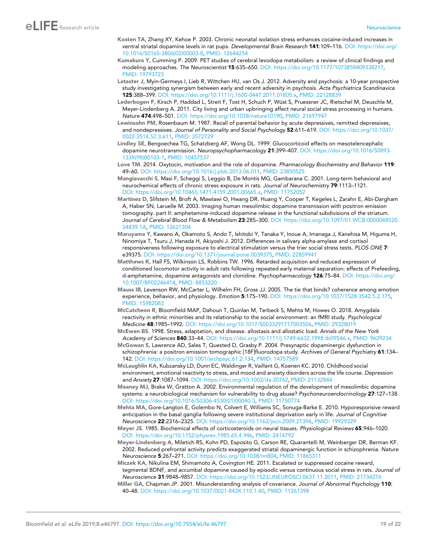- <span id="page-18-0"></span>Kosten TA, Zhang XY, Kehoe P. 2003. Chronic neonatal isolation stress enhances cocaine-induced increases in ventral striatal dopamine levels in rat pups. *Developmental Brain Research* 141:109–116. DOI: [https://doi.org/](https://doi.org/10.1016/S0165-3806(03)00003-8) [10.1016/S0165-3806\(03\)00003-8](https://doi.org/10.1016/S0165-3806(03)00003-8), PMID: [12644254](http://www.ncbi.nlm.nih.gov/pubmed/12644254)
- Kumakura Y, Cumming P. 2009. PET studies of cerebral levodopa metabolism: a review of clinical findings and modeling approaches. *The Neuroscientist* 15:635–650. DOI:<https://doi.org/10.1177/1073858409338217>, PMID: [19793723](http://www.ncbi.nlm.nih.gov/pubmed/19793723)
- Lataster J, Myin-Germeys I, Lieb R, Wittchen HU, van Os J. 2012. Adversity and psychosis: a 10-year prospective study investigating synergism between early and recent adversity in psychosis. *Acta Psychiatrica Scandinavica* 125:388–399. DOI:<https://doi.org/10.1111/j.1600-0447.2011.01805.x>, PMID: [22128839](http://www.ncbi.nlm.nih.gov/pubmed/22128839)
- Lederbogen F, Kirsch P, Haddad L, Streit F, Tost H, Schuch P, Wüst S, Pruessner JC, Rietschel M, Deuschle M, Meyer-Lindenberg A. 2011. City living and urban upbringing affect neural social stress processing in humans. *Nature* 474:498–501. DOI: [https://doi.org/10.1038/nature10190,](https://doi.org/10.1038/nature10190) PMID: [21697947](http://www.ncbi.nlm.nih.gov/pubmed/21697947)
- Lewinsohn PM, Rosenbaum M. 1987. Recall of parental behavior by acute depressives, remitted depressives, and nondepressives. *Journal of Personality and Social Psychology* 52:611–619. DOI: [https://doi.org/10.1037/](https://doi.org/10.1037/0022-3514.52.3.611) [0022-3514.52.3.611](https://doi.org/10.1037/0022-3514.52.3.611), PMID: [3572729](http://www.ncbi.nlm.nih.gov/pubmed/3572729)
- Lindley SE, Bengoechea TG, Schatzberg AF, Wong DL. 1999. Glucocorticoid effects on mesotelencephalic dopamine neurotransmission. *Neuropsychopharmacology* 21:399–407. DOI: [https://doi.org/10.1016/S0893-](https://doi.org/10.1016/S0893-133X(98)00103-1) [133X\(98\)00103-1,](https://doi.org/10.1016/S0893-133X(98)00103-1) PMID: [10457537](http://www.ncbi.nlm.nih.gov/pubmed/10457537)
- Love TM. 2014. Oxytocin, motivation and the role of dopamine. *Pharmacology Biochemistry and Behavior* 119: 49–60. DOI: [https://doi.org/10.1016/j.pbb.2013.06.011,](https://doi.org/10.1016/j.pbb.2013.06.011) PMID: [23850525](http://www.ncbi.nlm.nih.gov/pubmed/23850525)
- Mangiavacchi S, Masi F, Scheggi S, Leggio B, De Montis MG, Gambarana C. 2001. Long-term behavioral and neurochemical effects of chronic stress exposure in rats. *Journal of Neurochemistry* 79:1113–1121. DOI: [https://doi.org/10.1046/j.1471-4159.2001.00665.x,](https://doi.org/10.1046/j.1471-4159.2001.00665.x) PMID: [11752052](http://www.ncbi.nlm.nih.gov/pubmed/11752052)
- Martinez D, Slifstein M, Broft A, Mawlawi O, Hwang DR, Huang Y, Cooper T, Kegeles L, Zarahn E, Abi-Dargham A, Haber SN, Laruelle M. 2003. Imaging human mesolimbic dopamine transmission with positron emission tomography. part II: amphetamine-induced dopamine release in the functional subdivisions of the striatum. *Journal of Cerebral Blood Flow & Metabolism* 23:285–300. DOI: [https://doi.org/10.1097/01.WCB.0000048520.](https://doi.org/10.1097/01.WCB.0000048520.34839.1A) [34839.1A,](https://doi.org/10.1097/01.WCB.0000048520.34839.1A) PMID: [12621304](http://www.ncbi.nlm.nih.gov/pubmed/12621304)
- Maruyama Y, Kawano A, Okamoto S, Ando T, Ishitobi Y, Tanaka Y, Inoue A, Imanaga J, Kanehisa M, Higuma H, Ninomiya T, Tsuru J, Hanada H, Akiyoshi J. 2012. Differences in salivary alpha-amylase and cortisol responsiveness following exposure to electrical stimulation versus the trier social stress tests. *PLOS ONE* 7: e39375. DOI: [https://doi.org/10.1371/journal.pone.0039375,](https://doi.org/10.1371/journal.pone.0039375) PMID: [22859941](http://www.ncbi.nlm.nih.gov/pubmed/22859941)
- Matthews K, Hall FS, Wilkinson LS, Robbins TW. 1996. Retarded acquisition and reduced expression of conditioned locomotor activity in adult rats following repeated early maternal separation: effects of Prefeeding, d-amphetamine, dopamine antagonists and clonidine. *Psychopharmacology* 126:75–84. DOI: [https://doi.org/](https://doi.org/10.1007/BF02246414) [10.1007/BF02246414](https://doi.org/10.1007/BF02246414), PMID: [8853220](http://www.ncbi.nlm.nih.gov/pubmed/8853220)
- Mauss IB, Levenson RW, McCarter L, Wilhelm FH, Gross JJ. 2005. The tie that binds? coherence among emotion experience, behavior, and physiology. *Emotion* 5:175–190. DOI:<https://doi.org/10.1037/1528-3542.5.2.175>, PMID: [15982083](http://www.ncbi.nlm.nih.gov/pubmed/15982083)
- McCutcheon R, Bloomfield MAP, Dahoun T, Quinlan M, Terbeck S, Mehta M, Howes O. 2018. Amygdala reactivity in ethnic minorities and its relationship to the social environment: an fMRI study. *Psychological Medicine* 48:1985–1992. DOI: [https://doi.org/10.1017/S0033291717003506,](https://doi.org/10.1017/S0033291717003506) PMID: [29328019](http://www.ncbi.nlm.nih.gov/pubmed/29328019)
- McEwen BS. 1998. Stress, adaptation, and disease. allostasis and allostatic load. *Annals of the New York Academy of Sciences* 840:33–44. DOI:<https://doi.org/10.1111/j.1749-6632.1998.tb09546.x>, PMID: [9629234](http://www.ncbi.nlm.nih.gov/pubmed/9629234)
- McGowan S, Lawrence AD, Sales T, Quested D, Grasby P. 2004. Presynaptic dopaminergic dysfunction in schizophrenia: a positron emission tomographic [18F]fluorodopa study. *Archives of General Psychiatry* 61:134– 142. DOI: [https://doi.org/10.1001/archpsyc.61.2.134,](https://doi.org/10.1001/archpsyc.61.2.134) PMID: [14757589](http://www.ncbi.nlm.nih.gov/pubmed/14757589)
- McLaughlin KA, Kubzansky LD, Dunn EC, Waldinger R, Vaillant G, Koenen KC. 2010. Childhood social environment, emotional reactivity to stress, and mood and anxiety disorders across the life course. *Depression and Anxiety* 27:1087–1094. DOI:<https://doi.org/10.1002/da.20762>, PMID: [21132844](http://www.ncbi.nlm.nih.gov/pubmed/21132844)
- Meaney MJ, Brake W, Gratton A. 2002. Environmental regulation of the development of mesolimbic dopamine systems: a neurobiological mechanism for vulnerability to drug abuse? *Psychoneuroendocrinology* 27:127–138. DOI: [https://doi.org/10.1016/S0306-4530\(01\)00040-3](https://doi.org/10.1016/S0306-4530(01)00040-3), PMID: [11750774](http://www.ncbi.nlm.nih.gov/pubmed/11750774)
- Mehta MA, Gore-Langton E, Golembo N, Colvert E, Williams SC, Sonuga-Barke E. 2010. Hyporesponsive reward anticipation in the basal ganglia following severe institutional deprivation early in life. *Journal of Cognitive Neuroscience* 22:2316–2325. DOI: [https://doi.org/10.1162/jocn.2009.21394,](https://doi.org/10.1162/jocn.2009.21394) PMID: [19929329](http://www.ncbi.nlm.nih.gov/pubmed/19929329)
- Meyer JS. 1985. Biochemical effects of corticosteroids on neural tissues. *Physiological Reviews* 65:946–1020. DOI:<https://doi.org/10.1152/physrev.1985.65.4.946>, PMID: [2414792](http://www.ncbi.nlm.nih.gov/pubmed/2414792)
- Meyer-Lindenberg A, Miletich RS, Kohn PD, Esposito G, Carson RE, Quarantelli M, Weinberger DR, Berman KF. 2002. Reduced prefrontal activity predicts exaggerated striatal dopaminergic function in schizophrenia. *Nature Neuroscience* 5:267–271. DOI:<https://doi.org/10.1038/nn804>, PMID: [11865311](http://www.ncbi.nlm.nih.gov/pubmed/11865311)
- Miczek KA, Nikulina EM, Shimamoto A, Covington HE. 2011. Escalated or suppressed cocaine reward, tegmental BDNF, and accumbal dopamine caused by episodic versus continuous social stress in rats. *Journal of Neuroscience* 31:9848–9857. DOI: [https://doi.org/10.1523/JNEUROSCI.0637-11.2011,](https://doi.org/10.1523/JNEUROSCI.0637-11.2011) PMID: [21734276](http://www.ncbi.nlm.nih.gov/pubmed/21734276)
- Miller GA, Chapman JP. 2001. Misunderstanding analysis of covariance. *Journal of Abnormal Psychology* 110: 40–48. DOI:<https://doi.org/10.1037/0021-843X.110.1.40>, PMID: [11261398](http://www.ncbi.nlm.nih.gov/pubmed/11261398)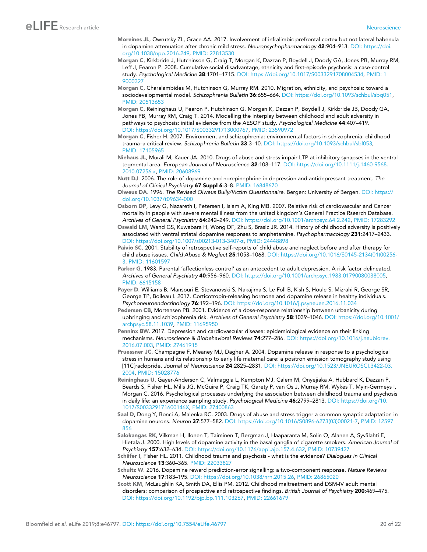- <span id="page-19-0"></span>Moreines JL, Owrutsky ZL, Grace AA. 2017. Involvement of infralimbic prefrontal cortex but not lateral habenula in dopamine attenuation after chronic mild stress. *Neuropsychopharmacology* 42:904–913. DOI: [https://doi.](https://doi.org/10.1038/npp.2016.249) [org/10.1038/npp.2016.249,](https://doi.org/10.1038/npp.2016.249) PMID: [27813530](http://www.ncbi.nlm.nih.gov/pubmed/27813530)
- Morgan C, Kirkbride J, Hutchinson G, Craig T, Morgan K, Dazzan P, Boydell J, Doody GA, Jones PB, Murray RM, Leff J, Fearon P. 2008. Cumulative social disadvantage, ethnicity and first-episode psychosis: a case-control study. *Psychological Medicine* 38:1701–1715. DOI:<https://doi.org/10.1017/S0033291708004534>, PMID: [1](http://www.ncbi.nlm.nih.gov/pubmed/19000327) [9000327](http://www.ncbi.nlm.nih.gov/pubmed/19000327)
- Morgan C, Charalambides M, Hutchinson G, Murray RM. 2010. Migration, ethnicity, and psychosis: toward a sociodevelopmental model. *Schizophrenia Bulletin* 36:655–664. DOI: [https://doi.org/10.1093/schbul/sbq051,](https://doi.org/10.1093/schbul/sbq051) PMID: [20513653](http://www.ncbi.nlm.nih.gov/pubmed/20513653)
- Morgan C, Reininghaus U, Fearon P, Hutchinson G, Morgan K, Dazzan P, Boydell J, Kirkbride JB, Doody GA, Jones PB, Murray RM, Craig T. 2014. Modelling the interplay between childhood and adult adversity in pathways to psychosis: initial evidence from the AESOP study. *Psychological Medicine* 44:407–419. DOI:<https://doi.org/10.1017/S0033291713000767>, PMID: [23590972](http://www.ncbi.nlm.nih.gov/pubmed/23590972)
- Morgan C, Fisher H. 2007. Environment and schizophrenia: environmental factors in schizophrenia: childhood trauma–a critical review. *Schizophrenia Bulletin* 33:3–10. DOI: [https://doi.org/10.1093/schbul/sbl053,](https://doi.org/10.1093/schbul/sbl053) PMID: [17105965](http://www.ncbi.nlm.nih.gov/pubmed/17105965)
- Niehaus JL, Murali M, Kauer JA. 2010. Drugs of abuse and stress impair LTP at inhibitory synapses in the ventral tegmental area. *European Journal of Neuroscience* 32:108–117. DOI: [https://doi.org/10.1111/j.1460-9568.](https://doi.org/10.1111/j.1460-9568.2010.07256.x) [2010.07256.x](https://doi.org/10.1111/j.1460-9568.2010.07256.x), PMID: [20608969](http://www.ncbi.nlm.nih.gov/pubmed/20608969)
- Nutt DJ. 2006. The role of dopamine and norepinephrine in depression and antidepressant treatment. *The Journal of Clinical Psychiatry* 67 Suppl 6:3–8. PMID: [16848670](http://www.ncbi.nlm.nih.gov/pubmed/16848670)
- Olweus DA. 1996. *The Revised Olweus Bully/Victim Questionnaire*. Bergen: University of Bergen. DOI: [https://](https://doi.org/10.1037/t09634-000) [doi.org/10.1037/t09634-000](https://doi.org/10.1037/t09634-000)
- Osborn DP, Levy G, Nazareth I, Petersen I, Islam A, King MB. 2007. Relative risk of cardiovascular and Cancer mortality in people with severe mental illness from the united kingdom's General Practice Rsearch Database. *Archives of General Psychiatry* 64:242–249. DOI: [https://doi.org/10.1001/archpsyc.64.2.242,](https://doi.org/10.1001/archpsyc.64.2.242) PMID: [17283292](http://www.ncbi.nlm.nih.gov/pubmed/17283292)
- Oswald LM, Wand GS, Kuwabara H, Wong DF, Zhu S, Brasic JR. 2014. History of childhood adversity is positively associated with ventral striatal dopamine responses to amphetamine. *Psychopharmacology* 231:2417–2433. DOI:<https://doi.org/10.1007/s00213-013-3407-z>, PMID: [24448898](http://www.ncbi.nlm.nih.gov/pubmed/24448898)
- Paivio SC. 2001. Stability of retrospective self-reports of child abuse and neglect before and after therapy for child abuse issues. *Child Abuse & Neglect* 25:1053–1068. DOI: [https://doi.org/10.1016/S0145-2134\(01\)00256-](https://doi.org/10.1016/S0145-2134(01)00256-3) [3,](https://doi.org/10.1016/S0145-2134(01)00256-3) PMID: [11601597](http://www.ncbi.nlm.nih.gov/pubmed/11601597)
- Parker G. 1983. Parental 'affectionless control' as an antecedent to adult depression. A risk factor delineated. *Archives of General Psychiatry* 40:956–960. DOI:<https://doi.org/10.1001/archpsyc.1983.01790080038005>, PMID: [6615158](http://www.ncbi.nlm.nih.gov/pubmed/6615158)
- Payer D, Williams B, Mansouri E, Stevanovski S, Nakajima S, Le Foll B, Kish S, Houle S, Mizrahi R, George SR, George TP, Boileau I. 2017. Corticotropin-releasing hormone and dopamine release in healthy individuals. *Psychoneuroendocrinology* 76:192–196. DOI:<https://doi.org/10.1016/j.psyneuen.2016.11.034>
- Pedersen CB, Mortensen PB. 2001. Evidence of a dose-response relationship between urbanicity during upbringing and schizophrenia risk. *Archives of General Psychiatry* 58:1039–1046. DOI: [https://doi.org/10.1001/](https://doi.org/10.1001/archpsyc.58.11.1039) [archpsyc.58.11.1039](https://doi.org/10.1001/archpsyc.58.11.1039), PMID: [11695950](http://www.ncbi.nlm.nih.gov/pubmed/11695950)
- Penninx BW. 2017. Depression and cardiovascular disease: epidemiological evidence on their linking mechanisms. *Neuroscience & Biobehavioral Reviews* 74:277–286. DOI: [https://doi.org/10.1016/j.neubiorev.](https://doi.org/10.1016/j.neubiorev.2016.07.003) [2016.07.003](https://doi.org/10.1016/j.neubiorev.2016.07.003), PMID: [27461915](http://www.ncbi.nlm.nih.gov/pubmed/27461915)
- Pruessner JC, Champagne F, Meaney MJ, Dagher A. 2004. Dopamine release in response to a psychological stress in humans and its relationship to early life maternal care: a positron emission tomography study using [11C]raclopride. *Journal of Neuroscience* 24:2825–2831. DOI: [https://doi.org/10.1523/JNEUROSCI.3422-03.](https://doi.org/10.1523/JNEUROSCI.3422-03.2004) [2004](https://doi.org/10.1523/JNEUROSCI.3422-03.2004), PMID: [15028776](http://www.ncbi.nlm.nih.gov/pubmed/15028776)
- Reininghaus U, Gayer-Anderson C, Valmaggia L, Kempton MJ, Calem M, Onyejiaka A, Hubbard K, Dazzan P, Beards S, Fisher HL, Mills JG, McGuire P, Craig TK, Garety P, van Os J, Murray RM, Wykes T, Myin-Germeys I, Morgan C. 2016. Psychological processes underlying the association between childhood trauma and psychosis in daily life: an experience sampling study. *Psychological Medicine* 46:2799–2813. DOI: [https://doi.org/10.](https://doi.org/10.1017/S003329171600146X) [1017/S003329171600146X](https://doi.org/10.1017/S003329171600146X), PMID: [27400863](http://www.ncbi.nlm.nih.gov/pubmed/27400863)
- Saal D, Dong Y, Bonci A, Malenka RC. 2003. Drugs of abuse and stress trigger a common synaptic adaptation in dopamine neurons. *Neuron* 37:577–582. DOI: [https://doi.org/10.1016/S0896-6273\(03\)00021-7](https://doi.org/10.1016/S0896-6273(03)00021-7), PMID: [12597](http://www.ncbi.nlm.nih.gov/pubmed/12597856) [856](http://www.ncbi.nlm.nih.gov/pubmed/12597856)
- Salokangas RK, Vilkman H, Ilonen T, Taiminen T, Bergman J, Haaparanta M, Solin O, Alanen A, Syvälahti E, Hietala J. 2000. High levels of dopamine activity in the basal ganglia of cigarette smokers. *American Journal of Psychiatry* 157:632–634. DOI:<https://doi.org/10.1176/appi.ajp.157.4.632>, PMID: [10739427](http://www.ncbi.nlm.nih.gov/pubmed/10739427)
- Schäfer I, Fisher HL. 2011. Childhood trauma and psychosis what is the evidence? *Dialogues in Clinical Neuroscience* 13:360–365. PMID: [22033827](http://www.ncbi.nlm.nih.gov/pubmed/22033827)
- Schultz W. 2016. Dopamine reward prediction-error signalling: a two-component response. *Nature Reviews Neuroscience* 17:183–195. DOI: [https://doi.org/10.1038/nrn.2015.26,](https://doi.org/10.1038/nrn.2015.26) PMID: [26865020](http://www.ncbi.nlm.nih.gov/pubmed/26865020)
- Scott KM, McLaughlin KA, Smith DA, Ellis PM. 2012. Childhood maltreatment and DSM-IV adult mental disorders: comparison of prospective and retrospective findings. *British Journal of Psychiatry* 200:469–475. DOI:<https://doi.org/10.1192/bjp.bp.111.103267>, PMID: [22661679](http://www.ncbi.nlm.nih.gov/pubmed/22661679)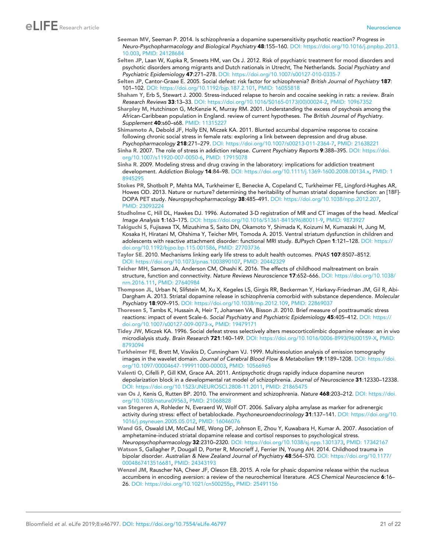# <span id="page-20-0"></span>eLIFE Research article **Neuroscience**

- Seeman MV, Seeman P. 2014. Is schizophrenia a dopamine supersensitivity psychotic reaction? *Progress in Neuro-Psychopharmacology and Biological Psychiatry* 48:155–160. DOI: [https://doi.org/10.1016/j.pnpbp.2013.](https://doi.org/10.1016/j.pnpbp.2013.10.003) [10.003,](https://doi.org/10.1016/j.pnpbp.2013.10.003) PMID: [24128684](http://www.ncbi.nlm.nih.gov/pubmed/24128684)
- Selten JP, Laan W, Kupka R, Smeets HM, van Os J. 2012. Risk of psychiatric treatment for mood disorders and psychotic disorders among migrants and Dutch nationals in Utrecht, The Netherlands. *Social Psychiatry and Psychiatric Epidemiology* 47:271–278. DOI:<https://doi.org/10.1007/s00127-010-0335-7>
- Selten JP, Cantor-Graae E. 2005. Social defeat: risk factor for schizophrenia? *British Journal of Psychiatry* 187: 101–102. DOI: [https://doi.org/10.1192/bjp.187.2.101,](https://doi.org/10.1192/bjp.187.2.101) PMID: [16055818](http://www.ncbi.nlm.nih.gov/pubmed/16055818)
- Shaham Y, Erb S, Stewart J. 2000. Stress-induced relapse to heroin and cocaine seeking in rats: a review. *Brain Research Reviews* 33:13–33. DOI: [https://doi.org/10.1016/S0165-0173\(00\)00024-2](https://doi.org/10.1016/S0165-0173(00)00024-2), PMID: [10967352](http://www.ncbi.nlm.nih.gov/pubmed/10967352)
- Sharpley M, Hutchinson G, McKenzie K, Murray RM. 2001. Understanding the excess of psychosis among the African-Caribbean population in England. review of current hypotheses. *The British Journal of Psychiatry. Supplement* 40:s60–s68. PMID: [11315227](http://www.ncbi.nlm.nih.gov/pubmed/11315227)
- Shimamoto A, Debold JF, Holly EN, Miczek KA. 2011. Blunted accumbal dopamine response to cocaine following chronic social stress in female rats: exploring a link between depression and drug abuse. *Psychopharmacology* 218:271–279. DOI: [https://doi.org/10.1007/s00213-011-2364-7,](https://doi.org/10.1007/s00213-011-2364-7) PMID: [21638221](http://www.ncbi.nlm.nih.gov/pubmed/21638221)
- Sinha R. 2007. The role of stress in addiction relapse. *Current Psychiatry Reports* 9:388–395. DOI: [https://doi.](https://doi.org/10.1007/s11920-007-0050-6) [org/10.1007/s11920-007-0050-6,](https://doi.org/10.1007/s11920-007-0050-6) PMID: [17915078](http://www.ncbi.nlm.nih.gov/pubmed/17915078)
- Sinha R. 2009. Modeling stress and drug craving in the laboratory: implications for addiction treatment development. *Addiction Biology* 14:84–98. DOI: [https://doi.org/10.1111/j.1369-1600.2008.00134.x,](https://doi.org/10.1111/j.1369-1600.2008.00134.x) PMID: [1](http://www.ncbi.nlm.nih.gov/pubmed/18945295) [8945295](http://www.ncbi.nlm.nih.gov/pubmed/18945295)
- Stokes PR, Shotbolt P, Mehta MA, Turkheimer E, Benecke A, Copeland C, Turkheimer FE, Lingford-Hughes AR, Howes OD. 2013. Nature or nurture? determining the heritability of human striatal dopamine function: an [18F]- DOPA PET study. *Neuropsychopharmacology* 38:485–491. DOI: [https://doi.org/10.1038/npp.2012.207,](https://doi.org/10.1038/npp.2012.207) PMID: [23093224](http://www.ncbi.nlm.nih.gov/pubmed/23093224)
- Studholme C, Hill DL, Hawkes DJ. 1996. Automated 3-D registration of MR and CT images of the head. *Medical Image Analysis* 1:163–175. DOI: [https://doi.org/10.1016/S1361-8415\(96\)80011-9](https://doi.org/10.1016/S1361-8415(96)80011-9), PMID: [9873927](http://www.ncbi.nlm.nih.gov/pubmed/9873927)
- Takiguchi S, Fujisawa TX, Mizushima S, Saito DN, Okamoto Y, Shimada K, Koizumi M, Kumazaki H, Jung M, Kosaka H, Hiratani M, Ohshima Y, Teicher MH, Tomoda A. 2015. Ventral striatum dysfunction in children and adolescents with reactive attachment disorder: functional MRI study. *BJPsych Open* 1:121–128. DOI: [https://](https://doi.org/10.1192/bjpo.bp.115.001586) [doi.org/10.1192/bjpo.bp.115.001586,](https://doi.org/10.1192/bjpo.bp.115.001586) PMID: [27703736](http://www.ncbi.nlm.nih.gov/pubmed/27703736)
- Taylor SE. 2010. Mechanisms linking early life stress to adult health outcomes. *PNAS* 107:8507–8512. DOI: [https://doi.org/10.1073/pnas.1003890107,](https://doi.org/10.1073/pnas.1003890107) PMID: [20442329](http://www.ncbi.nlm.nih.gov/pubmed/20442329)
- Teicher MH, Samson JA, Anderson CM, Ohashi K. 2016. The effects of childhood maltreatment on brain structure, function and connectivity. *Nature Reviews Neuroscience* 17:652–666. DOI: [https://doi.org/10.1038/](https://doi.org/10.1038/nrn.2016.111) [nrn.2016.111](https://doi.org/10.1038/nrn.2016.111), PMID: [27640984](http://www.ncbi.nlm.nih.gov/pubmed/27640984)
- Thompson JL, Urban N, Slifstein M, Xu X, Kegeles LS, Girgis RR, Beckerman Y, Harkavy-Friedman JM, Gil R, Abi-Dargham A. 2013. Striatal dopamine release in schizophrenia comorbid with substance dependence. *Molecular Psychiatry* 18:909–915. DOI:<https://doi.org/10.1038/mp.2012.109>, PMID: [22869037](http://www.ncbi.nlm.nih.gov/pubmed/22869037)
- Thoresen S, Tambs K, Hussain A, Heir T, Johansen VA, Bisson JI. 2010. Brief measure of posttraumatic stress reactions: impact of event Scale-6. *Social Psychiatry and Psychiatric Epidemiology* 45:405–412. DOI: [https://](https://doi.org/10.1007/s00127-009-0073-x) [doi.org/10.1007/s00127-009-0073-x](https://doi.org/10.1007/s00127-009-0073-x), PMID: [19479171](http://www.ncbi.nlm.nih.gov/pubmed/19479171)
- Tidey JW, Miczek KA. 1996. Social defeat stress selectively alters mesocorticolimbic dopamine release: an in vivo microdialysis study. *Brain Research* 721:140–149. DOI: [https://doi.org/10.1016/0006-8993\(96\)00159-X](https://doi.org/10.1016/0006-8993(96)00159-X), PMID: [8793094](http://www.ncbi.nlm.nih.gov/pubmed/8793094)
- Turkheimer FE, Brett M, Visvikis D, Cunningham VJ. 1999. Multiresolution analysis of emission tomography images in the wavelet domain. *Journal of Cerebral Blood Flow & Metabolism* 19:1189–1208. DOI: [https://doi.](https://doi.org/10.1097/00004647-199911000-00003) [org/10.1097/00004647-199911000-00003](https://doi.org/10.1097/00004647-199911000-00003), PMID: [10566965](http://www.ncbi.nlm.nih.gov/pubmed/10566965)
- Valenti O, Cifelli P, Gill KM, Grace AA. 2011. Antipsychotic drugs rapidly induce dopamine neuron depolarization block in a developmental rat model of schizophrenia. *Journal of Neuroscience* 31:12330–12338. DOI: [https://doi.org/10.1523/JNEUROSCI.2808-11.2011,](https://doi.org/10.1523/JNEUROSCI.2808-11.2011) PMID: [21865475](http://www.ncbi.nlm.nih.gov/pubmed/21865475)
- van Os J, Kenis G, Rutten BP. 2010. The environment and schizophrenia. *Nature* 468:203–212. DOI: [https://doi.](https://doi.org/10.1038/nature09563) [org/10.1038/nature09563](https://doi.org/10.1038/nature09563), PMID: [21068828](http://www.ncbi.nlm.nih.gov/pubmed/21068828)
- van Stegeren A, Rohleder N, Everaerd W, Wolf OT. 2006. Salivary alpha amylase as marker for adrenergic activity during stress: effect of betablockade. *Psychoneuroendocrinology* 31:137–141. DOI: [https://doi.org/10.](https://doi.org/10.1016/j.psyneuen.2005.05.012) [1016/j.psyneuen.2005.05.012](https://doi.org/10.1016/j.psyneuen.2005.05.012), PMID: [16046076](http://www.ncbi.nlm.nih.gov/pubmed/16046076)
- Wand GS, Oswald LM, McCaul ME, Wong DF, Johnson E, Zhou Y, Kuwabara H, Kumar A. 2007. Association of amphetamine-induced striatal dopamine release and cortisol responses to psychological stress. *Neuropsychopharmacology* 32:2310–2320. DOI: [https://doi.org/10.1038/sj.npp.1301373,](https://doi.org/10.1038/sj.npp.1301373) PMID: [17342167](http://www.ncbi.nlm.nih.gov/pubmed/17342167)
- Watson S, Gallagher P, Dougall D, Porter R, Moncrieff J, Ferrier IN, Young AH. 2014. Childhood trauma in bipolar disorder. *Australian & New Zealand Journal of Psychiatry* 48:564–570. DOI: [https://doi.org/10.1177/](https://doi.org/10.1177/0004867413516681) [0004867413516681,](https://doi.org/10.1177/0004867413516681) PMID: [24343193](http://www.ncbi.nlm.nih.gov/pubmed/24343193)
- Wenzel JM, Rauscher NA, Cheer JF, Oleson EB. 2015. A role for phasic dopamine release within the nucleus accumbens in encoding aversion: a review of the neurochemical literature. *ACS Chemical Neuroscience* 6:16– 26. DOI: [https://doi.org/10.1021/cn500255p,](https://doi.org/10.1021/cn500255p) PMID: [25491156](http://www.ncbi.nlm.nih.gov/pubmed/25491156)